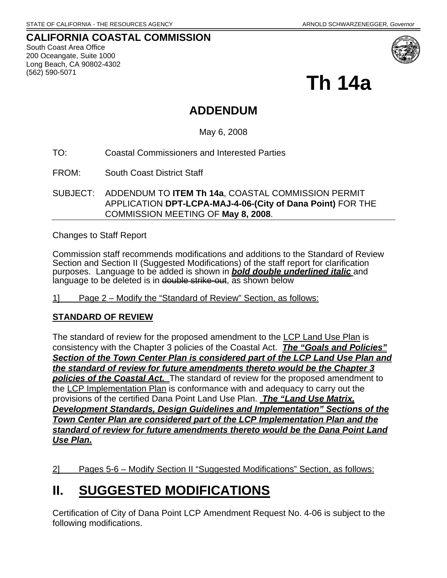**CALIFORNIA COASTAL COMMISSION**  South Coast Area Office 200 Oceangate, Suite 1000 Long Beach, CA 90802-4302 (562) 590-5071



**Th 14a** 

## **ADDENDUM**

May 6, 2008

TO: Coastal Commissioners and Interested Parties

FROM: South Coast District Staff

SUBJECT: ADDENDUM TO **ITEM Th 14a**, COASTAL COMMISSION PERMIT APPLICATION **DPT-LCPA-MAJ-4-06-(City of Dana Point)** FOR THE COMMISSION MEETING OF **May 8, 2008**.

Changes to Staff Report

Commission staff recommends modifications and additions to the Standard of Review Section and Section II (Suggested Modifications) of the staff report for clarification purposes. Language to be added is shown in *bold double underlined italic* and language to be deleted is in double strike-out, as shown below

1] Page 2 – Modify the "Standard of Review" Section, as follows:

### **STANDARD OF REVIEW**

The standard of review for the proposed amendment to the LCP Land Use Plan is consistency with the Chapter 3 policies of the Coastal Act. *The "Goals and Policies" Section of the Town Center Plan is considered part of the LCP Land Use Plan and the standard of review for future amendments thereto would be the Chapter 3 policies of the Coastal Act.* The standard of review for the proposed amendment to the LCP Implementation Plan is conformance with and adequacy to carry out the provisions of the certified Dana Point Land Use Plan. *The "Land Use Matrix, Development Standards, Design Guidelines and Implementation" Sections of the Town Center Plan are considered part of the LCP Implementation Plan and the standard of review for future amendments thereto would be the Dana Point Land Use Plan.*

2] Pages 5-6 – Modify Section II "Suggested Modifications" Section, as follows:

## **II. SUGGESTED MODIFICATIONS**

Certification of City of Dana Point LCP Amendment Request No. 4-06 is subject to the following modifications.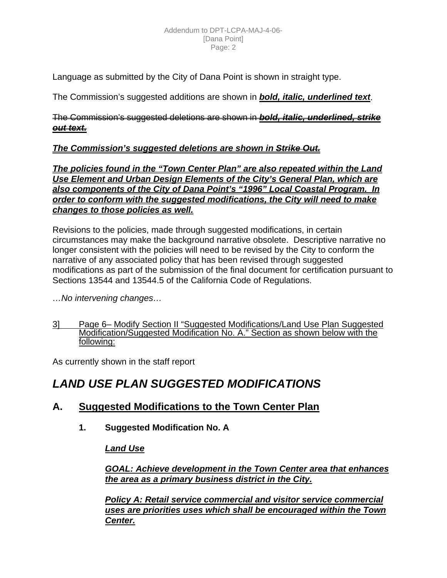Language as submitted by the City of Dana Point is shown in straight type.

The Commission's suggested additions are shown in *bold, italic, underlined text*.

The Commission's suggested deletions are shown in *bold, italic, underlined, strike out text.*

### *The Commission's suggested deletions are shown in Strike Out.*

*The policies found in the "Town Center Plan" are also repeated within the Land Use Element and Urban Design Elements of the City's General Plan, which are also components of the City of Dana Point's "1996" Local Coastal Program. In order to conform with the suggested modifications, the City will need to make changes to those policies as well.*

Revisions to the policies, made through suggested modifications, in certain circumstances may make the background narrative obsolete. Descriptive narrative no longer consistent with the policies will need to be revised by the City to conform the narrative of any associated policy that has been revised through suggested modifications as part of the submission of the final document for certification pursuant to Sections 13544 and 13544.5 of the California Code of Regulations.

*…No intervening changes…*

3] Page 6– Modify Section II "Suggested Modifications/Land Use Plan Suggested Modification/Suggested Modification No. A." Section as shown below with the following:

As currently shown in the staff report

## *LAND USE PLAN SUGGESTED MODIFICATIONS*

## **A. Suggested Modifications to the Town Center Plan**

**1. Suggested Modification No. A** 

*Land Use*

*GOAL: Achieve development in the Town Center area that enhances the area as a primary business district in the City.*

*Policy A: Retail service commercial and visitor service commercial uses are priorities uses which shall be encouraged within the Town Center.*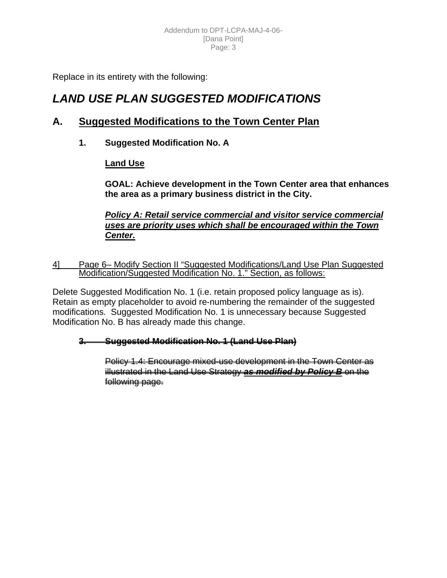Replace in its entirety with the following:

## *LAND USE PLAN SUGGESTED MODIFICATIONS*

## **A. Suggested Modifications to the Town Center Plan**

**1. Suggested Modification No. A** 

### **Land Use**

**GOAL: Achieve development in the Town Center area that enhances the area as a primary business district in the City.** 

*Policy A: Retail service commercial and visitor service commercial uses are priority uses which shall be encouraged within the Town Center.*

4] Page 6– Modify Section II "Suggested Modifications/Land Use Plan Suggested Modification/Suggested Modification No. 1." Section, as follows:

Delete Suggested Modification No. 1 (i.e. retain proposed policy language as is). Retain as empty placeholder to avoid re-numbering the remainder of the suggested modifications. Suggested Modification No. 1 is unnecessary because Suggested Modification No. B has already made this change.

### **3. Suggested Modification No. 1 (Land Use Plan)**

Policy 1.4: Encourage mixed-use development in the Town Center as illustrated in the Land Use Strategy *as modified by Policy B* on the following page.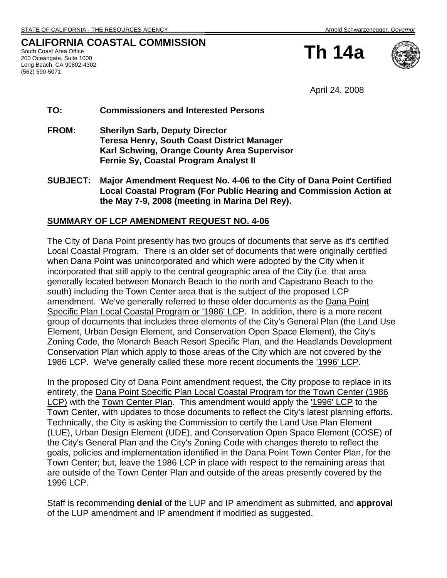### **CALIFORNIA COASTAL COMMISSION**

South Coast Area Office 200 Oceangate, Suite 1000 Long Beach, CA 90802-4302 (562) 590-5071

**Th 14a**



April 24, 2008

#### **TO: Commissioners and Interested Persons**

**FROM: Sherilyn Sarb, Deputy Director Teresa Henry, South Coast District Manager Karl Schwing, Orange County Area Supervisor Fernie Sy, Coastal Program Analyst II** 

**SUBJECT: Major Amendment Request No. 4-06 to the City of Dana Point Certified Local Coastal Program (For Public Hearing and Commission Action at the May 7-9, 2008 (meeting in Marina Del Rey).** 

#### **SUMMARY OF LCP AMENDMENT REQUEST NO. 4-06**

The City of Dana Point presently has two groups of documents that serve as it's certified Local Coastal Program. There is an older set of documents that were originally certified when Dana Point was unincorporated and which were adopted by the City when it incorporated that still apply to the central geographic area of the City (i.e. that area generally located between Monarch Beach to the north and Capistrano Beach to the south) including the Town Center area that is the subject of the proposed LCP amendment. We've generally referred to these older documents as the Dana Point Specific Plan Local Coastal Program or '1986' LCP. In addition, there is a more recent group of documents that includes three elements of the City's General Plan (the Land Use Element, Urban Design Element, and Conservation Open Space Element), the City's Zoning Code, the Monarch Beach Resort Specific Plan, and the Headlands Development Conservation Plan which apply to those areas of the City which are not covered by the 1986 LCP. We've generally called these more recent documents the '1996' LCP.

In the proposed City of Dana Point amendment request, the City propose to replace in its entirety, the Dana Point Specific Plan Local Coastal Program for the Town Center (1986 LCP) with the Town Center Plan. This amendment would apply the '1996' LCP to the Town Center, with updates to those documents to reflect the City's latest planning efforts. Technically, the City is asking the Commission to certify the Land Use Plan Element (LUE), Urban Design Element (UDE), and Conservation Open Space Element (COSE) of the City's General Plan and the City's Zoning Code with changes thereto to reflect the goals, policies and implementation identified in the Dana Point Town Center Plan, for the Town Center; but, leave the 1986 LCP in place with respect to the remaining areas that are outside of the Town Center Plan and outside of the areas presently covered by the 1996 LCP.

Staff is recommending **denial** of the LUP and IP amendment as submitted, and **approval** of the LUP amendment and IP amendment if modified as suggested.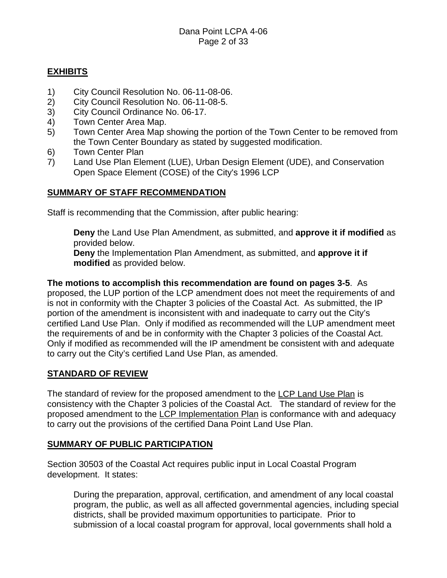### **EXHIBITS**

- 1) City Council Resolution No. 06-11-08-06.
- 2) City Council Resolution No. 06-11-08-5.
- 3) City Council Ordinance No. 06-17.
- 4) Town Center Area Map.
- 5) Town Center Area Map showing the portion of the Town Center to be removed from the Town Center Boundary as stated by suggested modification.
- 6) Town Center Plan
- 7) Land Use Plan Element (LUE), Urban Design Element (UDE), and Conservation Open Space Element (COSE) of the City's 1996 LCP

### **SUMMARY OF STAFF RECOMMENDATION**

Staff is recommending that the Commission, after public hearing:

**Deny** the Land Use Plan Amendment, as submitted, and **approve it if modified** as provided below.

**Deny** the Implementation Plan Amendment, as submitted, and **approve it if modified** as provided below.

**The motions to accomplish this recommendation are found on pages 3-5**. As proposed, the LUP portion of the LCP amendment does not meet the requirements of and is not in conformity with the Chapter 3 policies of the Coastal Act. As submitted, the IP portion of the amendment is inconsistent with and inadequate to carry out the City's certified Land Use Plan. Only if modified as recommended will the LUP amendment meet the requirements of and be in conformity with the Chapter 3 policies of the Coastal Act. Only if modified as recommended will the IP amendment be consistent with and adequate to carry out the City's certified Land Use Plan, as amended.

### **STANDARD OF REVIEW**

The standard of review for the proposed amendment to the LCP Land Use Plan is consistency with the Chapter 3 policies of the Coastal Act. The standard of review for the proposed amendment to the LCP Implementation Plan is conformance with and adequacy to carry out the provisions of the certified Dana Point Land Use Plan.

#### **SUMMARY OF PUBLIC PARTICIPATION**

Section 30503 of the Coastal Act requires public input in Local Coastal Program development. It states:

During the preparation, approval, certification, and amendment of any local coastal program, the public, as well as all affected governmental agencies, including special districts, shall be provided maximum opportunities to participate. Prior to submission of a local coastal program for approval, local governments shall hold a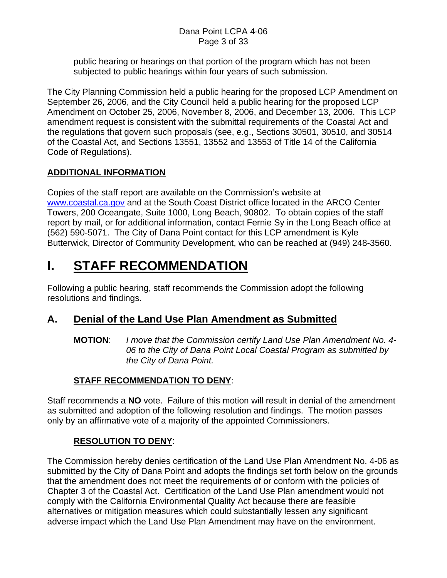public hearing or hearings on that portion of the program which has not been subjected to public hearings within four years of such submission.

The City Planning Commission held a public hearing for the proposed LCP Amendment on September 26, 2006, and the City Council held a public hearing for the proposed LCP Amendment on October 25, 2006, November 8, 2006, and December 13, 2006. This LCP amendment request is consistent with the submittal requirements of the Coastal Act and the regulations that govern such proposals (see, e.g., Sections 30501, 30510, and 30514 of the Coastal Act, and Sections 13551, 13552 and 13553 of Title 14 of the California Code of Regulations).

## **ADDITIONAL INFORMATION**

Copies of the staff report are available on the Commission's website at [www.coastal.ca.gov](http://www.coastal.ca.gov/) and at the South Coast District office located in the ARCO Center Towers, 200 Oceangate, Suite 1000, Long Beach, 90802. To obtain copies of the staff report by mail, or for additional information, contact Fernie Sy in the Long Beach office at (562) 590-5071. The City of Dana Point contact for this LCP amendment is Kyle Butterwick, Director of Community Development, who can be reached at (949) 248-3560.

## **I. STAFF RECOMMENDATION**

Following a public hearing, staff recommends the Commission adopt the following resolutions and findings.

## **A. Denial of the Land Use Plan Amendment as Submitted**

**MOTION**: *I move that the Commission certify Land Use Plan Amendment No. 4- 06 to the City of Dana Point Local Coastal Program as submitted by the City of Dana Point.* 

## **STAFF RECOMMENDATION TO DENY**:

Staff recommends a **NO** vote. Failure of this motion will result in denial of the amendment as submitted and adoption of the following resolution and findings. The motion passes only by an affirmative vote of a majority of the appointed Commissioners.

## **RESOLUTION TO DENY**:

The Commission hereby denies certification of the Land Use Plan Amendment No. 4-06 as submitted by the City of Dana Point and adopts the findings set forth below on the grounds that the amendment does not meet the requirements of or conform with the policies of Chapter 3 of the Coastal Act. Certification of the Land Use Plan amendment would not comply with the California Environmental Quality Act because there are feasible alternatives or mitigation measures which could substantially lessen any significant adverse impact which the Land Use Plan Amendment may have on the environment.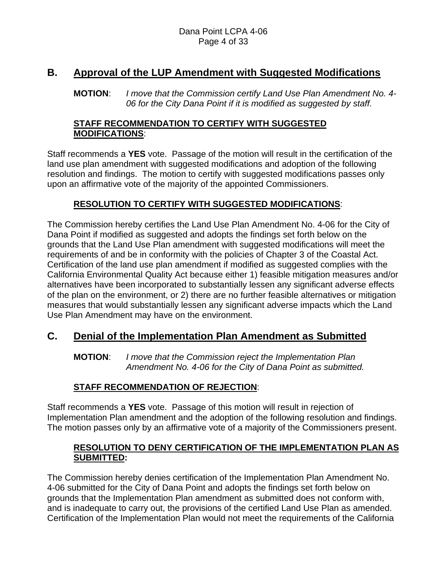## **B. Approval of the LUP Amendment with Suggested Modifications**

**MOTION**: *I move that the Commission certify Land Use Plan Amendment No. 4- 06 for the City Dana Point if it is modified as suggested by staff.* 

#### **STAFF RECOMMENDATION TO CERTIFY WITH SUGGESTED MODIFICATIONS**:

Staff recommends a **YES** vote. Passage of the motion will result in the certification of the land use plan amendment with suggested modifications and adoption of the following resolution and findings. The motion to certify with suggested modifications passes only upon an affirmative vote of the majority of the appointed Commissioners.

### **RESOLUTION TO CERTIFY WITH SUGGESTED MODIFICATIONS**:

The Commission hereby certifies the Land Use Plan Amendment No. 4-06 for the City of Dana Point if modified as suggested and adopts the findings set forth below on the grounds that the Land Use Plan amendment with suggested modifications will meet the requirements of and be in conformity with the policies of Chapter 3 of the Coastal Act. Certification of the land use plan amendment if modified as suggested complies with the California Environmental Quality Act because either 1) feasible mitigation measures and/or alternatives have been incorporated to substantially lessen any significant adverse effects of the plan on the environment, or 2) there are no further feasible alternatives or mitigation measures that would substantially lessen any significant adverse impacts which the Land Use Plan Amendment may have on the environment.

## **C. Denial of the Implementation Plan Amendment as Submitted**

**MOTION**: *I move that the Commission reject the Implementation Plan Amendment No. 4-06 for the City of Dana Point as submitted.* 

## **STAFF RECOMMENDATION OF REJECTION**:

Staff recommends a **YES** vote. Passage of this motion will result in rejection of Implementation Plan amendment and the adoption of the following resolution and findings. The motion passes only by an affirmative vote of a majority of the Commissioners present.

#### **RESOLUTION TO DENY CERTIFICATION OF THE IMPLEMENTATION PLAN AS SUBMITTED:**

The Commission hereby denies certification of the Implementation Plan Amendment No. 4-06 submitted for the City of Dana Point and adopts the findings set forth below on grounds that the Implementation Plan amendment as submitted does not conform with, and is inadequate to carry out, the provisions of the certified Land Use Plan as amended. Certification of the Implementation Plan would not meet the requirements of the California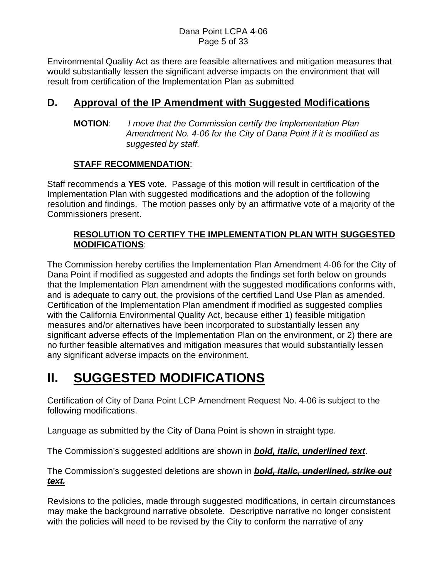#### Dana Point LCPA 4-06 Page 5 of 33

Environmental Quality Act as there are feasible alternatives and mitigation measures that would substantially lessen the significant adverse impacts on the environment that will result from certification of the Implementation Plan as submitted

## **D. Approval of the IP Amendment with Suggested Modifications**

**MOTION**: *I move that the Commission certify the Implementation Plan Amendment No. 4-06 for the City of Dana Point if it is modified as suggested by staff.* 

### **STAFF RECOMMENDATION**:

Staff recommends a **YES** vote. Passage of this motion will result in certification of the Implementation Plan with suggested modifications and the adoption of the following resolution and findings. The motion passes only by an affirmative vote of a majority of the Commissioners present.

### **RESOLUTION TO CERTIFY THE IMPLEMENTATION PLAN WITH SUGGESTED MODIFICATIONS**:

The Commission hereby certifies the Implementation Plan Amendment 4-06 for the City of Dana Point if modified as suggested and adopts the findings set forth below on grounds that the Implementation Plan amendment with the suggested modifications conforms with, and is adequate to carry out, the provisions of the certified Land Use Plan as amended. Certification of the Implementation Plan amendment if modified as suggested complies with the California Environmental Quality Act, because either 1) feasible mitigation measures and/or alternatives have been incorporated to substantially lessen any significant adverse effects of the Implementation Plan on the environment, or 2) there are no further feasible alternatives and mitigation measures that would substantially lessen any significant adverse impacts on the environment.

## **II. SUGGESTED MODIFICATIONS**

Certification of City of Dana Point LCP Amendment Request No. 4-06 is subject to the following modifications.

Language as submitted by the City of Dana Point is shown in straight type.

The Commission's suggested additions are shown in *bold, italic, underlined text*.

The Commission's suggested deletions are shown in *bold, italic, underlined, strike out text.*

Revisions to the policies, made through suggested modifications, in certain circumstances may make the background narrative obsolete. Descriptive narrative no longer consistent with the policies will need to be revised by the City to conform the narrative of any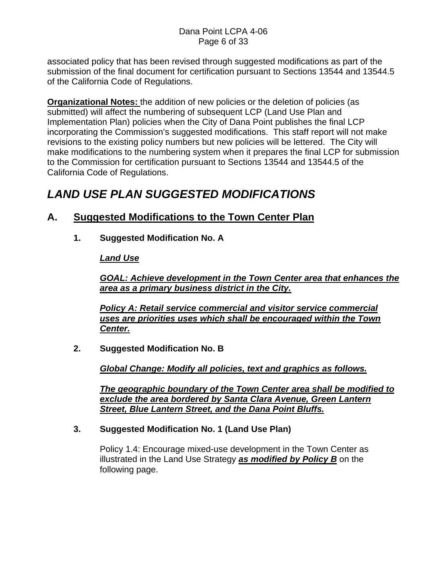associated policy that has been revised through suggested modifications as part of the submission of the final document for certification pursuant to Sections 13544 and 13544.5 of the California Code of Regulations.

**Organizational Notes:** the addition of new policies or the deletion of policies (as submitted) will affect the numbering of subsequent LCP (Land Use Plan and Implementation Plan) policies when the City of Dana Point publishes the final LCP incorporating the Commission's suggested modifications. This staff report will not make revisions to the existing policy numbers but new policies will be lettered. The City will make modifications to the numbering system when it prepares the final LCP for submission to the Commission for certification pursuant to Sections 13544 and 13544.5 of the California Code of Regulations.

## *LAND USE PLAN SUGGESTED MODIFICATIONS*

## **A. Suggested Modifications to the Town Center Plan**

**1. Suggested Modification No. A** 

### *Land Use*

*GOAL: Achieve development in the Town Center area that enhances the area as a primary business district in the City.*

*Policy A: Retail service commercial and visitor service commercial uses are priorities uses which shall be encouraged within the Town Center.*

**2. Suggested Modification No. B** 

*Global Change: Modify all policies, text and graphics as follows.*

*The geographic boundary of the Town Center area shall be modified to exclude the area bordered by Santa Clara Avenue, Green Lantern Street, Blue Lantern Street, and the Dana Point Bluffs.*

### **3. Suggested Modification No. 1 (Land Use Plan)**

Policy 1.4: Encourage mixed-use development in the Town Center as illustrated in the Land Use Strategy *as modified by Policy B* on the following page.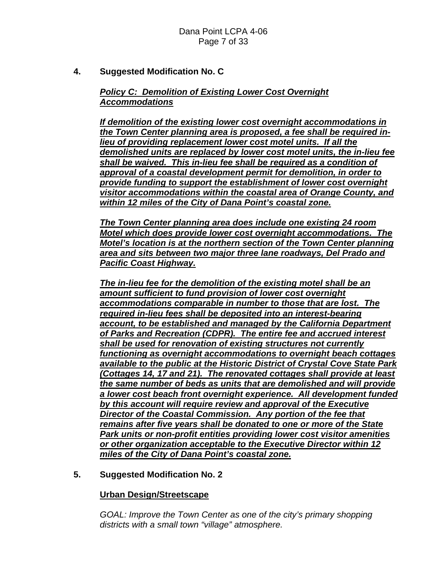**4. Suggested Modification No. C** 

### *Policy C: Demolition of Existing Lower Cost Overnight Accommodations*

*If demolition of the existing lower cost overnight accommodations in the Town Center planning area is proposed, a fee shall be required inlieu of providing replacement lower cost motel units. If all the demolished units are replaced by lower cost motel units, the in-lieu fee shall be waived. This in-lieu fee shall be required as a condition of approval of a coastal development permit for demolition, in order to provide funding to support the establishment of lower cost overnight visitor accommodations within the coastal area of Orange County, and within 12 miles of the City of Dana Point's coastal zone.*

*The Town Center planning area does include one existing 24 room Motel which does provide lower cost overnight accommodations. The Motel's location is at the northern section of the Town Center planning area and sits between two major three lane roadways, Del Prado and Pacific Coast Highway.*

*The in-lieu fee for the demolition of the existing motel shall be an amount sufficient to fund provision of lower cost overnight accommodations comparable in number to those that are lost. The required in-lieu fees shall be deposited into an interest-bearing account, to be established and managed by the California Department of Parks and Recreation (CDPR). The entire fee and accrued interest shall be used for renovation of existing structures not currently functioning as overnight accommodations to overnight beach cottages available to the public at the Historic District of Crystal Cove State Park (Cottages 14, 17 and 21). The renovated cottages shall provide at least the same number of beds as units that are demolished and will provide a lower cost beach front overnight experience. All development funded by this account will require review and approval of the Executive Director of the Coastal Commission. Any portion of the fee that remains after five years shall be donated to one or more of the State Park units or non-profit entities providing lower cost visitor amenities or other organization acceptable to the Executive Director within 12 miles of the City of Dana Point's coastal zone.*

#### **5. Suggested Modification No. 2**

#### **Urban Design/Streetscape**

*GOAL: Improve the Town Center as one of the city's primary shopping districts with a small town "village" atmosphere.*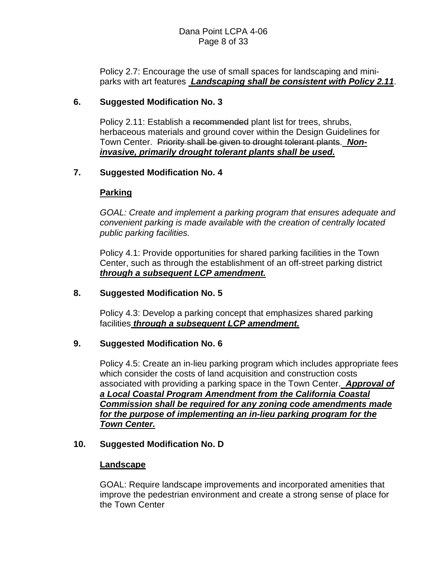Policy 2.7: Encourage the use of small spaces for landscaping and miniparks with art features *Landscaping shall be consistent with Policy 2.11*.

#### **6. Suggested Modification No. 3**

Policy 2.11: Establish a recommended plant list for trees, shrubs, herbaceous materials and ground cover within the Design Guidelines for Town Center. Priority shall be given to drought tolerant plants. *Noninvasive, primarily drought tolerant plants shall be used.*

#### **7. Suggested Modification No. 4**

#### **Parking**

*GOAL: Create and implement a parking program that ensures adequate and convenient parking is made available with the creation of centrally located public parking facilities.* 

Policy 4.1: Provide opportunities for shared parking facilities in the Town Center, such as through the establishment of an off-street parking district *through a subsequent LCP amendment.*

#### **8. Suggested Modification No. 5**

Policy 4.3: Develop a parking concept that emphasizes shared parking facilities *through a subsequent LCP amendment.*

#### **9. Suggested Modification No. 6**

Policy 4.5: Create an in-lieu parking program which includes appropriate fees which consider the costs of land acquisition and construction costs associated with providing a parking space in the Town Center. *Approval of a Local Coastal Program Amendment from the California Coastal Commission shall be required for any zoning code amendments made for the purpose of implementing an in-lieu parking program for the Town Center.*

#### **10. Suggested Modification No. D**

#### **Landscape**

GOAL: Require landscape improvements and incorporated amenities that improve the pedestrian environment and create a strong sense of place for the Town Center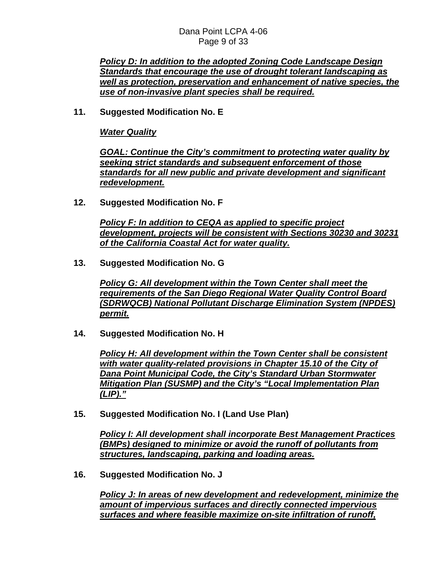#### Dana Point LCPA 4-06 Page 9 of 33

*Policy D: In addition to the adopted Zoning Code Landscape Design Standards that encourage the use of drought tolerant landscaping as well as protection, preservation and enhancement of native species, the use of non-invasive plant species shall be required.*

**11. Suggested Modification No. E** 

*Water Quality*

*GOAL: Continue the City's commitment to protecting water quality by seeking strict standards and subsequent enforcement of those standards for all new public and private development and significant redevelopment.*

**12. Suggested Modification No. F** 

*Policy F: In addition to CEQA as applied to specific project development, projects will be consistent with Sections 30230 and 30231 of the California Coastal Act for water quality.*

**13. Suggested Modification No. G** 

*Policy G: All development within the Town Center shall meet the requirements of the San Diego Regional Water Quality Control Board (SDRWQCB) National Pollutant Discharge Elimination System (NPDES) permit.*

**14. Suggested Modification No. H** 

*Policy H: All development within the Town Center shall be consistent with water quality-related provisions in Chapter 15.10 of the City of Dana Point Municipal Code, the City's Standard Urban Stormwater Mitigation Plan (SUSMP) and the City's "Local Implementation Plan (LIP)."*

**15. Suggested Modification No. I (Land Use Plan)** 

*Policy I: All development shall incorporate Best Management Practices (BMPs) designed to minimize or avoid the runoff of pollutants from structures, landscaping, parking and loading areas.*

**16. Suggested Modification No. J** 

*Policy J: In areas of new development and redevelopment, minimize the amount of impervious surfaces and directly connected impervious surfaces and where feasible maximize on-site infiltration of runoff,*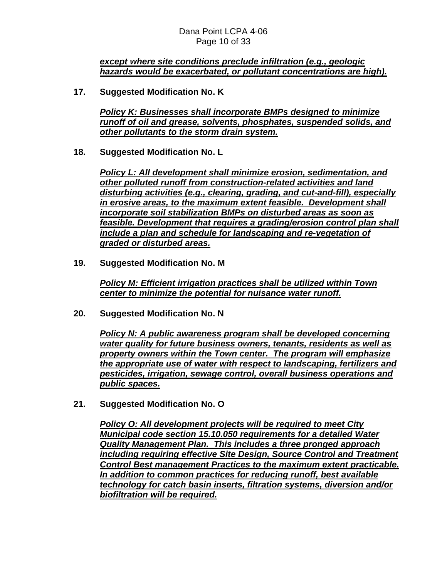#### *except where site conditions preclude infiltration (e.g., geologic hazards would be exacerbated, or pollutant concentrations are high).*

**17. Suggested Modification No. K** 

*Policy K: Businesses shall incorporate BMPs designed to minimize runoff of oil and grease, solvents, phosphates, suspended solids, and other pollutants to the storm drain system.*

**18. Suggested Modification No. L** 

*Policy L: All development shall minimize erosion, sedimentation, and other polluted runoff from construction-related activities and land disturbing activities (e.g., clearing, grading, and cut-and-fill), especially in erosive areas, to the maximum extent feasible. Development shall incorporate soil stabilization BMPs on disturbed areas as soon as feasible. Development that requires a grading/erosion control plan shall include a plan and schedule for landscaping and re-vegetation of graded or disturbed areas.*

**19. Suggested Modification No. M** 

*Policy M: Efficient irrigation practices shall be utilized within Town center to minimize the potential for nuisance water runoff.*

**20. Suggested Modification No. N** 

*Policy N: A public awareness program shall be developed concerning water quality for future business owners, tenants, residents as well as property owners within the Town center. The program will emphasize the appropriate use of water with respect to landscaping, fertilizers and pesticides, irrigation, sewage control, overall business operations and public spaces.*

**21. Suggested Modification No. O** 

*Policy O: All development projects will be required to meet City Municipal code section 15.10.050 requirements for a detailed Water Quality Management Plan. This includes a three pronged approach including requiring effective Site Design, Source Control and Treatment Control Best management Practices to the maximum extent practicable. In addition to common practices for reducing runoff, best available technology for catch basin inserts, filtration systems, diversion and/or biofiltration will be required.*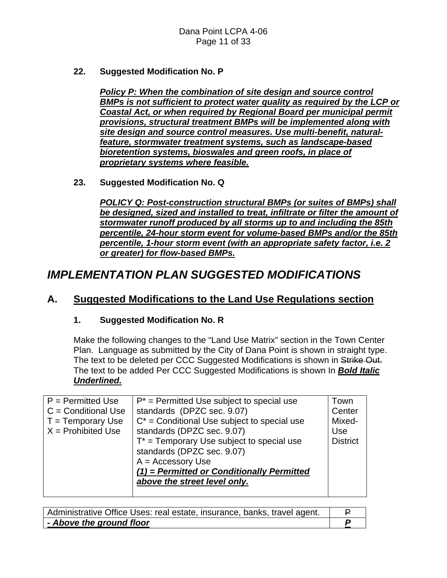**22. Suggested Modification No. P** 

*Policy P: When the combination of site design and source control BMPs is not sufficient to protect water quality as required by the LCP or Coastal Act, or when required by Regional Board per municipal permit provisions, structural treatment BMPs will be implemented along with site design and source control measures. Use multi-benefit, naturalfeature, stormwater treatment systems, such as landscape-based bioretention systems, bioswales and green roofs, in place of proprietary systems where feasible.*

**23. Suggested Modification No. Q** 

*POLICY Q: Post-construction structural BMPs (or suites of BMPs) shall be designed, sized and installed to treat, infiltrate or filter the amount of stormwater runoff produced by all storms up to and including the 85th percentile, 24-hour storm event for volume-based BMPs and/or the 85th percentile, 1-hour storm event (with an appropriate safety factor, i.e. 2 or greater) for flow-based BMPs.*

## *IMPLEMENTATION PLAN SUGGESTED MODIFICATIONS*

## **A. Suggested Modifications to the Land Use Regulations section**

#### **1. Suggested Modification No. R**

Make the following changes to the "Land Use Matrix" section in the Town Center Plan. Language as submitted by the City of Dana Point is shown in straight type. The text to be deleted per CCC Suggested Modifications is shown in Strike Out. The text to be added Per CCC Suggested Modifications is shown In *Bold Italic Underlined.*

| $P = Permitted Use$<br>$C =$ Conditional Use<br>$T = T$ emporary Use<br>$X =$ Prohibited Use | $P^*$ = Permitted Use subject to special use<br>standards (DPZC sec. 9.07)<br>$C^*$ = Conditional Use subject to special use<br>standards (DPZC sec. 9.07)<br>$T^*$ = Temporary Use subject to special use<br>standards (DPZC sec. 9.07)<br>$A =$ Accessory Use<br>$(1)$ = Permitted or Conditionally Permitted<br>above the street level only. | Town<br>Center<br>Mixed-<br>Use<br><b>District</b> |
|----------------------------------------------------------------------------------------------|-------------------------------------------------------------------------------------------------------------------------------------------------------------------------------------------------------------------------------------------------------------------------------------------------------------------------------------------------|----------------------------------------------------|
|                                                                                              |                                                                                                                                                                                                                                                                                                                                                 |                                                    |

| Administrative Office Uses: real estate, insurance, banks, travel agent. |  |
|--------------------------------------------------------------------------|--|
| - Above the ground floor                                                 |  |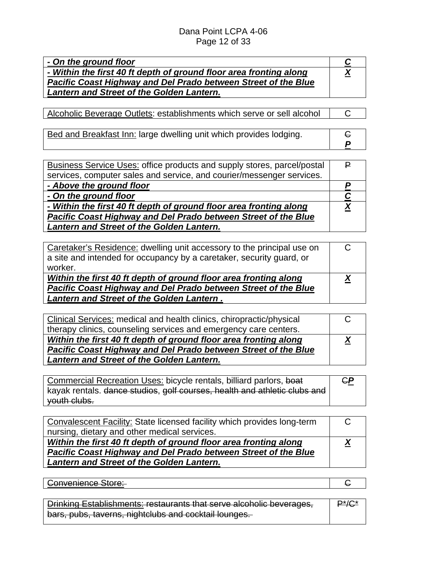#### Dana Point LCPA 4-06 Page 12 of 33

| - On the ground floor                                              |          |
|--------------------------------------------------------------------|----------|
| - Within the first 40 ft depth of ground floor area fronting along | <u>X</u> |
| Pacific Coast Highway and Del Prado between Street of the Blue     |          |
| <b>Lantern and Street of the Golden Lantern.</b>                   |          |

Alcoholic Beverage Outlets: establishments which serve or sell alcohol | C

Bed and Breakfast Inn: large dwelling unit which provides lodging.

| <b>Business Service Uses: office products and supply stores, parcel/postal</b> |  |
|--------------------------------------------------------------------------------|--|
| services, computer sales and service, and courier/messenger services.          |  |
| - Above the ground floor                                                       |  |
| - On the ground floor                                                          |  |
| - Within the first 40 ft depth of ground floor area fronting along             |  |
| Pacific Coast Highway and Del Prado between Street of the Blue                 |  |
| Lantern and Street of the Golden Lantern.                                      |  |

| Caretaker's Residence: dwelling unit accessory to the principal use on<br>a site and intended for occupancy by a caretaker, security guard, or<br>worker. |  |
|-----------------------------------------------------------------------------------------------------------------------------------------------------------|--|
| Within the first 40 ft depth of ground floor area fronting along<br>Pacific Coast Highway and Del Prado between Street of the Blue                        |  |
| <b>Lantern and Street of the Golden Lantern.</b>                                                                                                          |  |

| Clinical Services: medical and health clinics, chiropractic/physical |  |
|----------------------------------------------------------------------|--|
| therapy clinics, counseling services and emergency care centers.     |  |
| Within the first 40 ft depth of ground floor area fronting along     |  |
| Pacific Coast Highway and Del Prado between Street of the Blue       |  |
| Lantern and Street of the Golden Lantern.                            |  |

Commercial Recreation Uses: bicycle rentals, billiard parlors, boat kayak rentals. dance studios, golf courses, health and athletic clubs and youth clubs. C*P*

| Convalescent Facility: State licensed facility which provides long-term |  |
|-------------------------------------------------------------------------|--|
| nursing, dietary and other medical services.                            |  |
| Within the first 40 ft depth of ground floor area fronting along        |  |
| Pacific Coast Highway and Del Prado between Street of the Blue          |  |
| <b>Lantern and Street of the Golden Lantern.</b>                        |  |

| <del>nvenience Store:</del> |  |
|-----------------------------|--|
|                             |  |

**Drinking Establishments: restaurants that serve alcoholic beverages,** bars, pubs, taverns, nightclubs and cocktail lounges.  $P^*/C^*$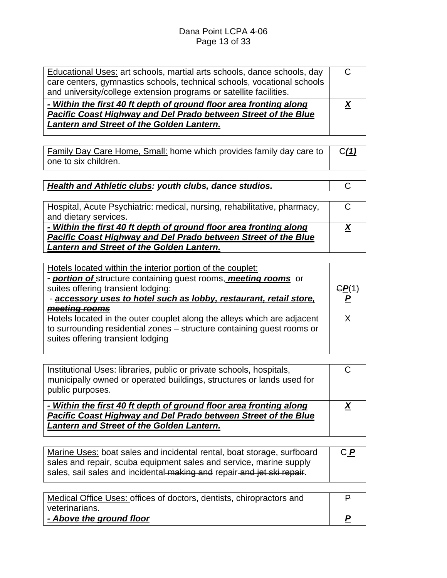| Lantern and Street of the Golden Lantern.                               |  |
|-------------------------------------------------------------------------|--|
| Pacific Coast Highway and Del Prado between Street of the Blue          |  |
| - Within the first 40 ft depth of ground floor area fronting along      |  |
| and university/college extension programs or satellite facilities.      |  |
| care centers, gymnastics schools, technical schools, vocational schools |  |
| Educational Uses: art schools, martial arts schools, dance schools, day |  |

| <u>Family Day Care Home, Small:</u> home which provides family day care to $\int C(1)$ |  |
|----------------------------------------------------------------------------------------|--|
| one to six children.                                                                   |  |

| Health and Athletic clubs: youth clubs, dance studios. |  |
|--------------------------------------------------------|--|

| Hospital, Acute Psychiatric: medical, nursing, rehabilitative, pharmacy, |          |
|--------------------------------------------------------------------------|----------|
| and dietary services.                                                    |          |
| - Within the first 40 ft depth of ground floor area fronting along       | <u>X</u> |
| Pacific Coast Highway and Del Prado between Street of the Blue           |          |
| <b>Lantern and Street of the Golden Lantern.</b>                         |          |

| Hotels located within the interior portion of the couplet:              |       |
|-------------------------------------------------------------------------|-------|
| - portion of structure containing quest rooms, meeting rooms or         |       |
| suites offering transient lodging:                                      | GP(1) |
| - accessory uses to hotel such as lobby, restaurant, retail store,      |       |
| meeting rooms                                                           |       |
| Hotels located in the outer couplet along the alleys which are adjacent | X     |
| to surrounding residential zones – structure containing guest rooms or  |       |
| suites offering transient lodging                                       |       |
|                                                                         |       |

| Institutional Uses: libraries, public or private schools, hospitals,<br>municipally owned or operated buildings, structures or lands used for<br>public purposes.                        |  |
|------------------------------------------------------------------------------------------------------------------------------------------------------------------------------------------|--|
| - Within the first 40 ft depth of ground floor area fronting along<br>Pacific Coast Highway and Del Prado between Street of the Blue<br><b>Lantern and Street of the Golden Lantern.</b> |  |

| Marine Uses: boat sales and incidental rental, boat storage, surfboard | $G_P$ |
|------------------------------------------------------------------------|-------|
|                                                                        |       |
| sales and repair, scuba equipment sales and service, marine supply     |       |
|                                                                        |       |
| sales, sail sales and incidental making and repair and jet ski repair. |       |
|                                                                        |       |

| Medical Office Uses: offices of doctors, dentists, chiropractors and |  |
|----------------------------------------------------------------------|--|
| veterinarians.                                                       |  |
| - Above the ground floor                                             |  |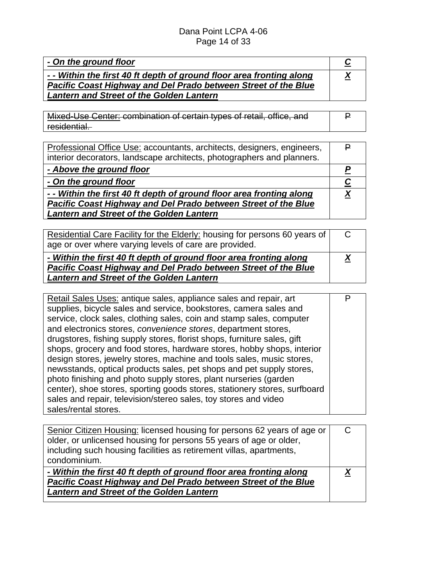| - On the ground floor                                              |  |
|--------------------------------------------------------------------|--|
| - Within the first 40 ft depth of ground floor area fronting along |  |
| Pacific Coast Highway and Del Prado between Street of the Blue     |  |
| <b>Lantern and Street of the Golden Lantern</b>                    |  |

Mixed-Use Center: combination of certain types of retail, office, and residential. P

| Professional Office Use: accountants, architects, designers, engineers, |  |
|-------------------------------------------------------------------------|--|
| interior decorators, landscape architects, photographers and planners.  |  |
| - Above the ground floor                                                |  |
| - On the ground floor                                                   |  |
| - - Within the first 40 ft depth of ground floor area fronting along    |  |
| <b>Pacific Coast Highway and Del Prado between Street of the Blue</b>   |  |
| <b>Lantern and Street of the Golden Lantern</b>                         |  |

| Residential Care Facility for the Elderly: housing for persons 60 years of |  |
|----------------------------------------------------------------------------|--|
| age or over where varying levels of care are provided.                     |  |
| - Within the first 40 ft depth of ground floor area fronting along         |  |
| Pacific Coast Highway and Del Prado between Street of the Blue             |  |
| <b>Lantern and Street of the Golden Lantern</b>                            |  |

| Retail Sales Uses: antique sales, appliance sales and repair, art         |  |
|---------------------------------------------------------------------------|--|
| supplies, bicycle sales and service, bookstores, camera sales and         |  |
| service, clock sales, clothing sales, coin and stamp sales, computer      |  |
| and electronics stores, <i>convenience</i> stores, department stores,     |  |
| drugstores, fishing supply stores, florist shops, furniture sales, gift   |  |
| shops, grocery and food stores, hardware stores, hobby shops, interior    |  |
| design stores, jewelry stores, machine and tools sales, music stores,     |  |
| newsstands, optical products sales, pet shops and pet supply stores,      |  |
| photo finishing and photo supply stores, plant nurseries (garden          |  |
| center), shoe stores, sporting goods stores, stationery stores, surfboard |  |
| sales and repair, television/stereo sales, toy stores and video           |  |
| sales/rental stores.                                                      |  |

| Senior Citizen Housing: licensed housing for persons 62 years of age or |  |
|-------------------------------------------------------------------------|--|
| older, or unlicensed housing for persons 55 years of age or older,      |  |
| including such housing facilities as retirement villas, apartments,     |  |
| condominium.                                                            |  |
| - Within the first 40 ft depth of ground floor area fronting along      |  |
| Pacific Coast Highway and Del Prado between Street of the Blue          |  |
|                                                                         |  |
| <b>Lantern and Street of the Golden Lantern</b>                         |  |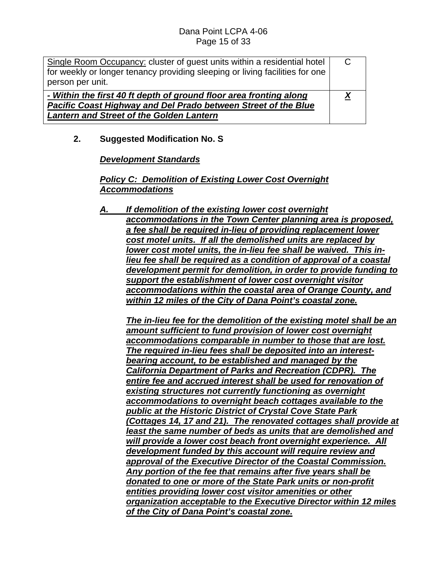| Single Room Occupancy: cluster of guest units within a residential hotel     |  |
|------------------------------------------------------------------------------|--|
| for weekly or longer tenancy providing sleeping or living facilities for one |  |
| person per unit.                                                             |  |
| - Within the first 40 ft depth of ground floor area fronting along           |  |
| Pacific Coast Highway and Del Prado between Street of the Blue               |  |
| <b>Lantern and Street of the Golden Lantern</b>                              |  |
|                                                                              |  |

#### **2. Suggested Modification No. S**

#### *Development Standards*

#### *Policy C: Demolition of Existing Lower Cost Overnight Accommodations*

*A. If demolition of the existing lower cost overnight accommodations in the Town Center planning area is proposed, a fee shall be required in-lieu of providing replacement lower cost motel units. If all the demolished units are replaced by lower cost motel units, the in-lieu fee shall be waived. This inlieu fee shall be required as a condition of approval of a coastal development permit for demolition, in order to provide funding to support the establishment of lower cost overnight visitor accommodations within the coastal area of Orange County, and within 12 miles of the City of Dana Point's coastal zone.*

*The in-lieu fee for the demolition of the existing motel shall be an amount sufficient to fund provision of lower cost overnight accommodations comparable in number to those that are lost. The required in-lieu fees shall be deposited into an interestbearing account, to be established and managed by the California Department of Parks and Recreation (CDPR). The entire fee and accrued interest shall be used for renovation of existing structures not currently functioning as overnight accommodations to overnight beach cottages available to the public at the Historic District of Crystal Cove State Park (Cottages 14, 17 and 21). The renovated cottages shall provide at least the same number of beds as units that are demolished and will provide a lower cost beach front overnight experience. All development funded by this account will require review and approval of the Executive Director of the Coastal Commission. Any portion of the fee that remains after five years shall be donated to one or more of the State Park units or non-profit entities providing lower cost visitor amenities or other organization acceptable to the Executive Director within 12 miles of the City of Dana Point's coastal zone.*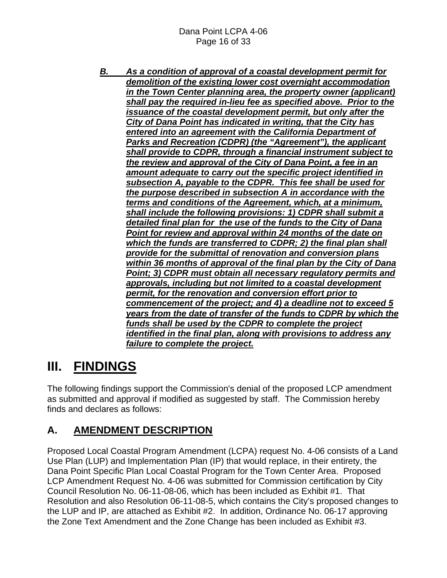*B. As a condition of approval of a coastal development permit for demolition of the existing lower cost overnight accommodation in the Town Center planning area, the property owner (applicant) shall pay the required in-lieu fee as specified above. Prior to the issuance of the coastal development permit, but only after the City of Dana Point has indicated in writing, that the City has entered into an agreement with the California Department of Parks and Recreation (CDPR) (the "Agreement"), the applicant shall provide to CDPR, through a financial instrument subject to the review and approval of the City of Dana Point, a fee in an amount adequate to carry out the specific project identified in subsection A, payable to the CDPR. This fee shall be used for the purpose described in subsection A in accordance with the terms and conditions of the Agreement, which, at a minimum, shall include the following provisions: 1) CDPR shall submit a detailed final plan for the use of the funds to the City of Dana Point for review and approval within 24 months of the date on which the funds are transferred to CDPR; 2) the final plan shall provide for the submittal of renovation and conversion plans within 36 months of approval of the final plan by the City of Dana Point; 3) CDPR must obtain all necessary regulatory permits and approvals, including but not limited to a coastal development permit, for the renovation and conversion effort prior to commencement of the project; and 4) a deadline not to exceed 5 years from the date of transfer of the funds to CDPR by which the funds shall be used by the CDPR to complete the project identified in the final plan, along with provisions to address any failure to complete the project.*

# **III. FINDINGS**

The following findings support the Commission's denial of the proposed LCP amendment as submitted and approval if modified as suggested by staff. The Commission hereby finds and declares as follows:

## **A. AMENDMENT DESCRIPTION**

Proposed Local Coastal Program Amendment (LCPA) request No. 4-06 consists of a Land Use Plan (LUP) and Implementation Plan (IP) that would replace, in their entirety, the Dana Point Specific Plan Local Coastal Program for the Town Center Area. Proposed LCP Amendment Request No. 4-06 was submitted for Commission certification by City Council Resolution No. 06-11-08-06, which has been included as Exhibit #1. That Resolution and also Resolution 06-11-08-5, which contains the City's proposed changes to the LUP and IP, are attached as Exhibit #2. In addition, Ordinance No. 06-17 approving the Zone Text Amendment and the Zone Change has been included as Exhibit #3.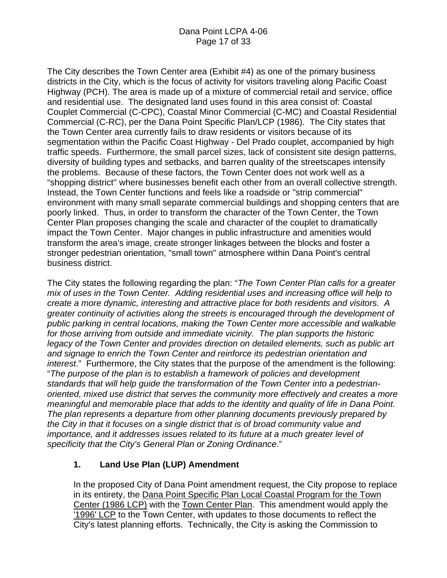The City describes the Town Center area (Exhibit #4) as one of the primary business districts in the City, which is the focus of activity for visitors traveling along Pacific Coast Highway (PCH). The area is made up of a mixture of commercial retail and service, office and residential use. The designated land uses found in this area consist of: Coastal Couplet Commercial (C-CPC), Coastal Minor Commercial (C-MC) and Coastal Residential Commercial (C-RC), per the Dana Point Specific Plan/LCP (1986). The City states that the Town Center area currently fails to draw residents or visitors because of its segmentation within the Pacific Coast Highway - Del Prado couplet, accompanied by high traffic speeds. Furthermore, the small parcel sizes, lack of consistent site design patterns, diversity of building types and setbacks, and barren quality of the streetscapes intensify the problems. Because of these factors, the Town Center does not work well as a "shopping district'' where businesses benefit each other from an overall collective strength. Instead, the Town Center functions and feels like a roadside or "strip commercial" environment with many small separate commercial buildings and shopping centers that are poorly linked. Thus, in order to transform the character of the Town Center, the Town Center Plan proposes changing the scale and character of the couplet to dramatically impact the Town Center. Major changes in public infrastructure and amenities would transform the area's image, create stronger linkages between the blocks and foster a stronger pedestrian orientation, "small town" atmosphere within Dana Point's central business district.

The City states the following regarding the plan: "*The Town Center Plan calls for a greater mix of uses in the Town Center. Adding residential uses and increasing office will help to create a more dynamic, interesting and attractive place for both residents and visitors. A greater continuity of activities along the streets is encouraged through the development of public parking in central locations, making the Town Center more accessible and walkable for those arriving from outside and immediate vicinity. The plan supports the historic*  legacy of the Town Center and provides direction on detailed elements, such as public art *and signage to enrich the Town Center and reinforce its pedestrian orientation and interest*." Furthermore, the City states that the purpose of the amendment is the following: "*The purpose of the plan is to establish a framework of policies and development standards that will help guide the transformation of the Town Center into a pedestrianoriented, mixed use district that serves the community more effectively and creates a more meaningful and memorable place that adds to the identity and quality of life in Dana Point. The plan represents a departure from other planning documents previously prepared by the City in that it focuses on a single district that is of broad community value and importance, and it addresses issues related to its future at a much greater level of specificity that the City's General Plan or Zoning Ordinance*."

### **1. Land Use Plan (LUP) Amendment**

In the proposed City of Dana Point amendment request, the City propose to replace in its entirety, the Dana Point Specific Plan Local Coastal Program for the Town Center (1986 LCP) with the Town Center Plan. This amendment would apply the '1996' LCP to the Town Center, with updates to those documents to reflect the City's latest planning efforts. Technically, the City is asking the Commission to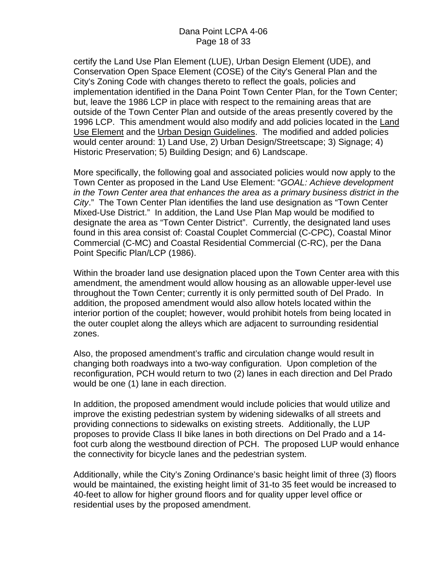certify the Land Use Plan Element (LUE), Urban Design Element (UDE), and Conservation Open Space Element (COSE) of the City's General Plan and the City's Zoning Code with changes thereto to reflect the goals, policies and implementation identified in the Dana Point Town Center Plan, for the Town Center; but, leave the 1986 LCP in place with respect to the remaining areas that are outside of the Town Center Plan and outside of the areas presently covered by the 1996 LCP. This amendment would also modify and add policies located in the Land Use Element and the Urban Design Guidelines. The modified and added policies would center around: 1) Land Use, 2) Urban Design/Streetscape; 3) Signage; 4) Historic Preservation; 5) Building Design; and 6) Landscape.

More specifically, the following goal and associated policies would now apply to the Town Center as proposed in the Land Use Element: "*GOAL: Achieve development in the Town Center area that enhances the area as a primary business district in the City*." The Town Center Plan identifies the land use designation as "Town Center Mixed-Use District." In addition, the Land Use Plan Map would be modified to designate the area as "Town Center District". Currently, the designated land uses found in this area consist of: Coastal Couplet Commercial (C-CPC), Coastal Minor Commercial (C-MC) and Coastal Residential Commercial (C-RC), per the Dana Point Specific Plan/LCP (1986).

Within the broader land use designation placed upon the Town Center area with this amendment, the amendment would allow housing as an allowable upper-level use throughout the Town Center; currently it is only permitted south of Del Prado. In addition, the proposed amendment would also allow hotels located within the interior portion of the couplet; however, would prohibit hotels from being located in the outer couplet along the alleys which are adjacent to surrounding residential zones.

Also, the proposed amendment's traffic and circulation change would result in changing both roadways into a two-way configuration. Upon completion of the reconfiguration, PCH would return to two (2) lanes in each direction and Del Prado would be one (1) lane in each direction.

In addition, the proposed amendment would include policies that would utilize and improve the existing pedestrian system by widening sidewalks of all streets and providing connections to sidewalks on existing streets. Additionally, the LUP proposes to provide Class II bike lanes in both directions on Del Prado and a 14 foot curb along the westbound direction of PCH. The proposed LUP would enhance the connectivity for bicycle lanes and the pedestrian system.

Additionally, while the City's Zoning Ordinance's basic height limit of three (3) floors would be maintained, the existing height limit of 31-to 35 feet would be increased to 40-feet to allow for higher ground floors and for quality upper level office or residential uses by the proposed amendment.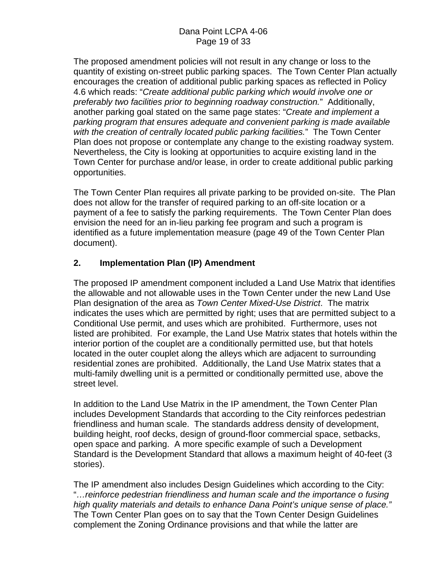The proposed amendment policies will not result in any change or loss to the quantity of existing on-street public parking spaces. The Town Center Plan actually encourages the creation of additional public parking spaces as reflected in Policy 4.6 which reads: "*Create additional public parking which would involve one or preferably two facilities prior to beginning roadway construction.*" Additionally, another parking goal stated on the same page states: "*Create and implement a parking program that ensures adequate and convenient parking is made available with the creation of centrally located public parking facilities.*" The Town Center Plan does not propose or contemplate any change to the existing roadway system. Nevertheless, the City is looking at opportunities to acquire existing land in the Town Center for purchase and/or lease, in order to create additional public parking opportunities.

The Town Center Plan requires all private parking to be provided on-site. The Plan does not allow for the transfer of required parking to an off-site location or a payment of a fee to satisfy the parking requirements. The Town Center Plan does envision the need for an in-lieu parking fee program and such a program is identified as a future implementation measure (page 49 of the Town Center Plan document).

### **2. Implementation Plan (IP) Amendment**

The proposed IP amendment component included a Land Use Matrix that identifies the allowable and not allowable uses in the Town Center under the new Land Use Plan designation of the area as *Town Center Mixed-Use District*. The matrix indicates the uses which are permitted by right; uses that are permitted subject to a Conditional Use permit, and uses which are prohibited. Furthermore, uses not listed are prohibited. For example, the Land Use Matrix states that hotels within the interior portion of the couplet are a conditionally permitted use, but that hotels located in the outer couplet along the alleys which are adjacent to surrounding residential zones are prohibited. Additionally, the Land Use Matrix states that a multi-family dwelling unit is a permitted or conditionally permitted use, above the street level.

In addition to the Land Use Matrix in the IP amendment, the Town Center Plan includes Development Standards that according to the City reinforces pedestrian friendliness and human scale. The standards address density of development, building height, roof decks, design of ground-floor commercial space, setbacks, open space and parking. A more specific example of such a Development Standard is the Development Standard that allows a maximum height of 40-feet (3 stories).

The IP amendment also includes Design Guidelines which according to the City: "*…reinforce pedestrian friendliness and human scale and the importance o fusing high quality materials and details to enhance Dana Point's unique sense of place."* The Town Center Plan goes on to say that the Town Center Design Guidelines complement the Zoning Ordinance provisions and that while the latter are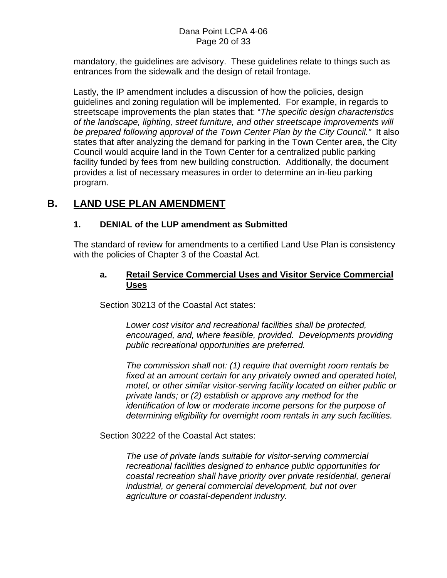#### Dana Point LCPA 4-06 Page 20 of 33

mandatory, the guidelines are advisory. These guidelines relate to things such as entrances from the sidewalk and the design of retail frontage.

Lastly, the IP amendment includes a discussion of how the policies, design guidelines and zoning regulation will be implemented. For example, in regards to streetscape improvements the plan states that: "*The specific design characteristics of the landscape, lighting, street furniture, and other streetscape improvements will be prepared following approval of the Town Center Plan by the City Council."* It also states that after analyzing the demand for parking in the Town Center area, the City Council would acquire land in the Town Center for a centralized public parking facility funded by fees from new building construction. Additionally, the document provides a list of necessary measures in order to determine an in-lieu parking program.

## **B. LAND USE PLAN AMENDMENT**

#### **1. DENIAL of the LUP amendment as Submitted**

The standard of review for amendments to a certified Land Use Plan is consistency with the policies of Chapter 3 of the Coastal Act.

#### **a. Retail Service Commercial Uses and Visitor Service Commercial Uses**

Section 30213 of the Coastal Act states:

*Lower cost visitor and recreational facilities shall be protected, encouraged, and, where feasible, provided. Developments providing public recreational opportunities are preferred.* 

*The commission shall not: (1) require that overnight room rentals be fixed at an amount certain for any privately owned and operated hotel, motel, or other similar visitor-serving facility located on either public or private lands; or (2) establish or approve any method for the identification of low or moderate income persons for the purpose of determining eligibility for overnight room rentals in any such facilities.* 

Section 30222 of the Coastal Act states:

*The use of private lands suitable for visitor-serving commercial recreational facilities designed to enhance public opportunities for coastal recreation shall have priority over private residential, general industrial, or general commercial development, but not over agriculture or coastal-dependent industry.*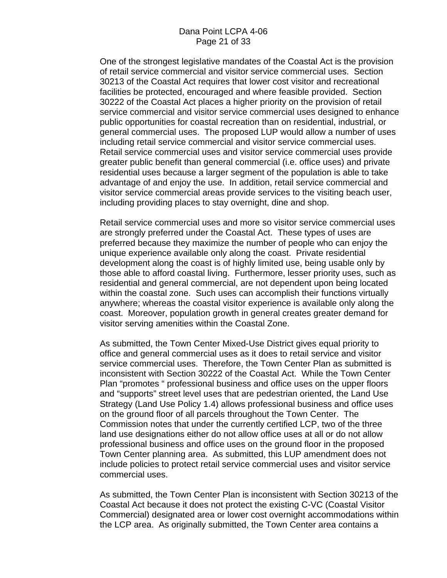One of the strongest legislative mandates of the Coastal Act is the provision of retail service commercial and visitor service commercial uses. Section 30213 of the Coastal Act requires that lower cost visitor and recreational facilities be protected, encouraged and where feasible provided. Section 30222 of the Coastal Act places a higher priority on the provision of retail service commercial and visitor service commercial uses designed to enhance public opportunities for coastal recreation than on residential, industrial, or general commercial uses. The proposed LUP would allow a number of uses including retail service commercial and visitor service commercial uses. Retail service commercial uses and visitor service commercial uses provide greater public benefit than general commercial (i.e. office uses) and private residential uses because a larger segment of the population is able to take advantage of and enjoy the use. In addition, retail service commercial and visitor service commercial areas provide services to the visiting beach user, including providing places to stay overnight, dine and shop.

Retail service commercial uses and more so visitor service commercial uses are strongly preferred under the Coastal Act. These types of uses are preferred because they maximize the number of people who can enjoy the unique experience available only along the coast. Private residential development along the coast is of highly limited use, being usable only by those able to afford coastal living. Furthermore, lesser priority uses, such as residential and general commercial, are not dependent upon being located within the coastal zone. Such uses can accomplish their functions virtually anywhere; whereas the coastal visitor experience is available only along the coast. Moreover, population growth in general creates greater demand for visitor serving amenities within the Coastal Zone.

As submitted, the Town Center Mixed-Use District gives equal priority to office and general commercial uses as it does to retail service and visitor service commercial uses. Therefore, the Town Center Plan as submitted is inconsistent with Section 30222 of the Coastal Act. While the Town Center Plan "promotes " professional business and office uses on the upper floors and "supports" street level uses that are pedestrian oriented, the Land Use Strategy (Land Use Policy 1.4) allows professional business and office uses on the ground floor of all parcels throughout the Town Center. The Commission notes that under the currently certified LCP, two of the three land use designations either do not allow office uses at all or do not allow professional business and office uses on the ground floor in the proposed Town Center planning area. As submitted, this LUP amendment does not include policies to protect retail service commercial uses and visitor service commercial uses.

As submitted, the Town Center Plan is inconsistent with Section 30213 of the Coastal Act because it does not protect the existing C-VC (Coastal Visitor Commercial) designated area or lower cost overnight accommodations within the LCP area. As originally submitted, the Town Center area contains a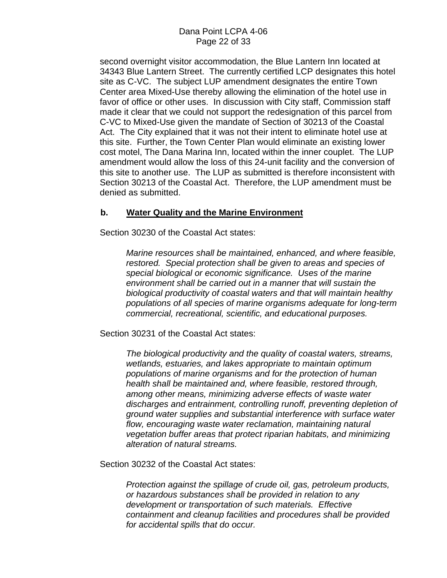second overnight visitor accommodation, the Blue Lantern Inn located at 34343 Blue Lantern Street. The currently certified LCP designates this hotel site as C-VC. The subject LUP amendment designates the entire Town Center area Mixed-Use thereby allowing the elimination of the hotel use in favor of office or other uses. In discussion with City staff, Commission staff made it clear that we could not support the redesignation of this parcel from C-VC to Mixed-Use given the mandate of Section of 30213 of the Coastal Act. The City explained that it was not their intent to eliminate hotel use at this site. Further, the Town Center Plan would eliminate an existing lower cost motel, The Dana Marina Inn, located within the inner couplet. The LUP amendment would allow the loss of this 24-unit facility and the conversion of this site to another use. The LUP as submitted is therefore inconsistent with Section 30213 of the Coastal Act. Therefore, the LUP amendment must be denied as submitted.

#### **b. Water Quality and the Marine Environment**

Section 30230 of the Coastal Act states:

*Marine resources shall be maintained, enhanced, and where feasible, restored. Special protection shall be given to areas and species of special biological or economic significance. Uses of the marine environment shall be carried out in a manner that will sustain the biological productivity of coastal waters and that will maintain healthy populations of all species of marine organisms adequate for long-term commercial, recreational, scientific, and educational purposes.* 

Section 30231 of the Coastal Act states:

*The biological productivity and the quality of coastal waters, streams, wetlands, estuaries, and lakes appropriate to maintain optimum populations of marine organisms and for the protection of human health shall be maintained and, where feasible, restored through, among other means, minimizing adverse effects of waste water discharges and entrainment, controlling runoff, preventing depletion of ground water supplies and substantial interference with surface water flow, encouraging waste water reclamation, maintaining natural vegetation buffer areas that protect riparian habitats, and minimizing alteration of natural streams.* 

Section 30232 of the Coastal Act states:

*Protection against the spillage of crude oil, gas, petroleum products, or hazardous substances shall be provided in relation to any development or transportation of such materials. Effective containment and cleanup facilities and procedures shall be provided for accidental spills that do occur.*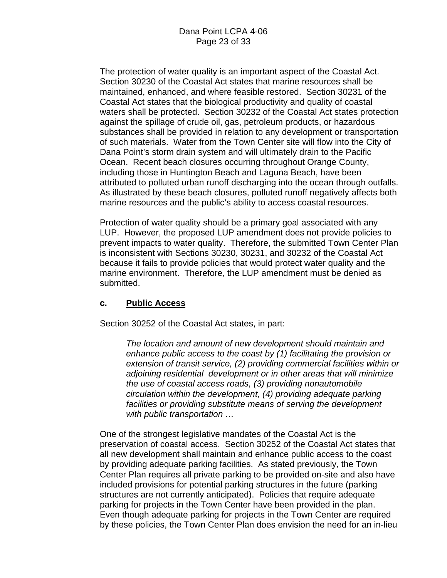The protection of water quality is an important aspect of the Coastal Act. Section 30230 of the Coastal Act states that marine resources shall be maintained, enhanced, and where feasible restored. Section 30231 of the Coastal Act states that the biological productivity and quality of coastal waters shall be protected. Section 30232 of the Coastal Act states protection against the spillage of crude oil, gas, petroleum products, or hazardous substances shall be provided in relation to any development or transportation of such materials. Water from the Town Center site will flow into the City of Dana Point's storm drain system and will ultimately drain to the Pacific Ocean. Recent beach closures occurring throughout Orange County, including those in Huntington Beach and Laguna Beach, have been attributed to polluted urban runoff discharging into the ocean through outfalls. As illustrated by these beach closures, polluted runoff negatively affects both marine resources and the public's ability to access coastal resources.

Protection of water quality should be a primary goal associated with any LUP. However, the proposed LUP amendment does not provide policies to prevent impacts to water quality. Therefore, the submitted Town Center Plan is inconsistent with Sections 30230, 30231, and 30232 of the Coastal Act because it fails to provide policies that would protect water quality and the marine environment. Therefore, the LUP amendment must be denied as submitted.

### **c. Public Access**

Section 30252 of the Coastal Act states, in part:

*The location and amount of new development should maintain and enhance public access to the coast by (1) facilitating the provision or extension of transit service, (2) providing commercial facilities within or adjoining residential development or in other areas that will minimize the use of coastal access roads, (3) providing nonautomobile circulation within the development, (4) providing adequate parking*  facilities or providing substitute means of serving the development *with public transportation …* 

One of the strongest legislative mandates of the Coastal Act is the preservation of coastal access. Section 30252 of the Coastal Act states that all new development shall maintain and enhance public access to the coast by providing adequate parking facilities. As stated previously, the Town Center Plan requires all private parking to be provided on-site and also have included provisions for potential parking structures in the future (parking structures are not currently anticipated). Policies that require adequate parking for projects in the Town Center have been provided in the plan. Even though adequate parking for projects in the Town Center are required by these policies, the Town Center Plan does envision the need for an in-lieu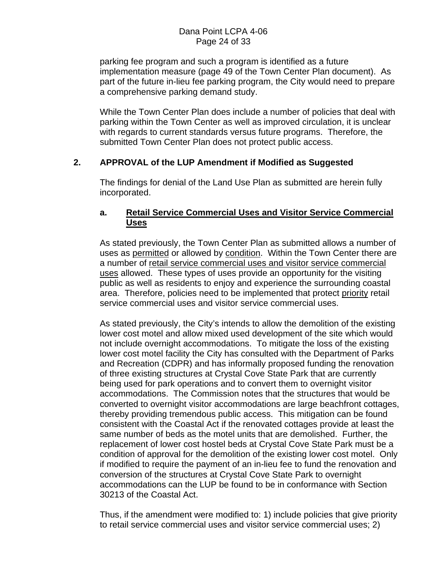parking fee program and such a program is identified as a future implementation measure (page 49 of the Town Center Plan document). As part of the future in-lieu fee parking program, the City would need to prepare a comprehensive parking demand study.

While the Town Center Plan does include a number of policies that deal with parking within the Town Center as well as improved circulation, it is unclear with regards to current standards versus future programs. Therefore, the submitted Town Center Plan does not protect public access.

#### **2. APPROVAL of the LUP Amendment if Modified as Suggested**

The findings for denial of the Land Use Plan as submitted are herein fully incorporated.

#### **a. Retail Service Commercial Uses and Visitor Service Commercial Uses**

As stated previously, the Town Center Plan as submitted allows a number of uses as permitted or allowed by condition. Within the Town Center there are a number of retail service commercial uses and visitor service commercial uses allowed. These types of uses provide an opportunity for the visiting public as well as residents to enjoy and experience the surrounding coastal area. Therefore, policies need to be implemented that protect priority retail service commercial uses and visitor service commercial uses.

As stated previously, the City's intends to allow the demolition of the existing lower cost motel and allow mixed used development of the site which would not include overnight accommodations. To mitigate the loss of the existing lower cost motel facility the City has consulted with the Department of Parks and Recreation (CDPR) and has informally proposed funding the renovation of three existing structures at Crystal Cove State Park that are currently being used for park operations and to convert them to overnight visitor accommodations. The Commission notes that the structures that would be converted to overnight visitor accommodations are large beachfront cottages, thereby providing tremendous public access. This mitigation can be found consistent with the Coastal Act if the renovated cottages provide at least the same number of beds as the motel units that are demolished. Further, the replacement of lower cost hostel beds at Crystal Cove State Park must be a condition of approval for the demolition of the existing lower cost motel. Only if modified to require the payment of an in-lieu fee to fund the renovation and conversion of the structures at Crystal Cove State Park to overnight accommodations can the LUP be found to be in conformance with Section 30213 of the Coastal Act.

Thus, if the amendment were modified to: 1) include policies that give priority to retail service commercial uses and visitor service commercial uses; 2)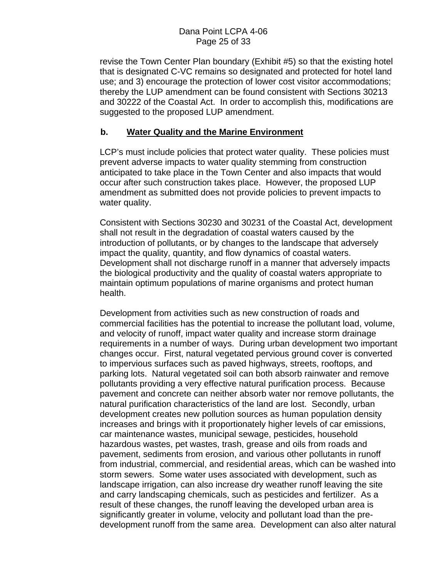revise the Town Center Plan boundary (Exhibit #5) so that the existing hotel that is designated C-VC remains so designated and protected for hotel land use; and 3) encourage the protection of lower cost visitor accommodations; thereby the LUP amendment can be found consistent with Sections 30213 and 30222 of the Coastal Act. In order to accomplish this, modifications are suggested to the proposed LUP amendment.

#### **b. Water Quality and the Marine Environment**

LCP's must include policies that protect water quality. These policies must prevent adverse impacts to water quality stemming from construction anticipated to take place in the Town Center and also impacts that would occur after such construction takes place. However, the proposed LUP amendment as submitted does not provide policies to prevent impacts to water quality.

Consistent with Sections 30230 and 30231 of the Coastal Act, development shall not result in the degradation of coastal waters caused by the introduction of pollutants, or by changes to the landscape that adversely impact the quality, quantity, and flow dynamics of coastal waters. Development shall not discharge runoff in a manner that adversely impacts the biological productivity and the quality of coastal waters appropriate to maintain optimum populations of marine organisms and protect human health.

Development from activities such as new construction of roads and commercial facilities has the potential to increase the pollutant load, volume, and velocity of runoff, impact water quality and increase storm drainage requirements in a number of ways. During urban development two important changes occur. First, natural vegetated pervious ground cover is converted to impervious surfaces such as paved highways, streets, rooftops, and parking lots. Natural vegetated soil can both absorb rainwater and remove pollutants providing a very effective natural purification process. Because pavement and concrete can neither absorb water nor remove pollutants, the natural purification characteristics of the land are lost. Secondly, urban development creates new pollution sources as human population density increases and brings with it proportionately higher levels of car emissions, car maintenance wastes, municipal sewage, pesticides, household hazardous wastes, pet wastes, trash, grease and oils from roads and pavement, sediments from erosion, and various other pollutants in runoff from industrial, commercial, and residential areas, which can be washed into storm sewers. Some water uses associated with development, such as landscape irrigation, can also increase dry weather runoff leaving the site and carry landscaping chemicals, such as pesticides and fertilizer. As a result of these changes, the runoff leaving the developed urban area is significantly greater in volume, velocity and pollutant load than the predevelopment runoff from the same area. Development can also alter natural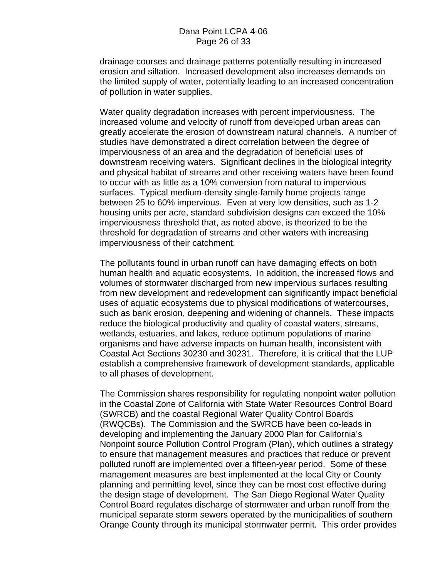drainage courses and drainage patterns potentially resulting in increased erosion and siltation. Increased development also increases demands on the limited supply of water, potentially leading to an increased concentration of pollution in water supplies.

Water quality degradation increases with percent imperviousness. The increased volume and velocity of runoff from developed urban areas can greatly accelerate the erosion of downstream natural channels. A number of studies have demonstrated a direct correlation between the degree of imperviousness of an area and the degradation of beneficial uses of downstream receiving waters. Significant declines in the biological integrity and physical habitat of streams and other receiving waters have been found to occur with as little as a 10% conversion from natural to impervious surfaces. Typical medium-density single-family home projects range between 25 to 60% impervious. Even at very low densities, such as 1-2 housing units per acre, standard subdivision designs can exceed the 10% imperviousness threshold that, as noted above, is theorized to be the threshold for degradation of streams and other waters with increasing imperviousness of their catchment.

The pollutants found in urban runoff can have damaging effects on both human health and aquatic ecosystems. In addition, the increased flows and volumes of stormwater discharged from new impervious surfaces resulting from new development and redevelopment can significantly impact beneficial uses of aquatic ecosystems due to physical modifications of watercourses, such as bank erosion, deepening and widening of channels. These impacts reduce the biological productivity and quality of coastal waters, streams, wetlands, estuaries, and lakes, reduce optimum populations of marine organisms and have adverse impacts on human health, inconsistent with Coastal Act Sections 30230 and 30231. Therefore, it is critical that the LUP establish a comprehensive framework of development standards, applicable to all phases of development.

The Commission shares responsibility for regulating nonpoint water pollution in the Coastal Zone of California with State Water Resources Control Board (SWRCB) and the coastal Regional Water Quality Control Boards (RWQCBs). The Commission and the SWRCB have been co-leads in developing and implementing the January 2000 Plan for California's Nonpoint source Pollution Control Program (Plan), which outlines a strategy to ensure that management measures and practices that reduce or prevent polluted runoff are implemented over a fifteen-year period. Some of these management measures are best implemented at the local City or County planning and permitting level, since they can be most cost effective during the design stage of development. The San Diego Regional Water Quality Control Board regulates discharge of stormwater and urban runoff from the municipal separate storm sewers operated by the municipalities of southern Orange County through its municipal stormwater permit. This order provides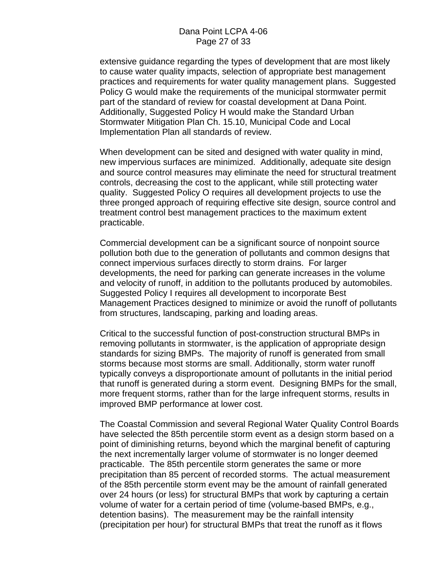extensive guidance regarding the types of development that are most likely to cause water quality impacts, selection of appropriate best management practices and requirements for water quality management plans. Suggested Policy G would make the requirements of the municipal stormwater permit part of the standard of review for coastal development at Dana Point. Additionally, Suggested Policy H would make the Standard Urban Stormwater Mitigation Plan Ch. 15.10, Municipal Code and Local Implementation Plan all standards of review.

When development can be sited and designed with water quality in mind, new impervious surfaces are minimized. Additionally, adequate site design and source control measures may eliminate the need for structural treatment controls, decreasing the cost to the applicant, while still protecting water quality. Suggested Policy O requires all development projects to use the three pronged approach of requiring effective site design, source control and treatment control best management practices to the maximum extent practicable.

Commercial development can be a significant source of nonpoint source pollution both due to the generation of pollutants and common designs that connect impervious surfaces directly to storm drains. For larger developments, the need for parking can generate increases in the volume and velocity of runoff, in addition to the pollutants produced by automobiles. Suggested Policy I requires all development to incorporate Best Management Practices designed to minimize or avoid the runoff of pollutants from structures, landscaping, parking and loading areas.

Critical to the successful function of post-construction structural BMPs in removing pollutants in stormwater, is the application of appropriate design standards for sizing BMPs. The majority of runoff is generated from small storms because most storms are small. Additionally, storm water runoff typically conveys a disproportionate amount of pollutants in the initial period that runoff is generated during a storm event. Designing BMPs for the small, more frequent storms, rather than for the large infrequent storms, results in improved BMP performance at lower cost.

The Coastal Commission and several Regional Water Quality Control Boards have selected the 85th percentile storm event as a design storm based on a point of diminishing returns, beyond which the marginal benefit of capturing the next incrementally larger volume of stormwater is no longer deemed practicable. The 85th percentile storm generates the same or more precipitation than 85 percent of recorded storms. The actual measurement of the 85th percentile storm event may be the amount of rainfall generated over 24 hours (or less) for structural BMPs that work by capturing a certain volume of water for a certain period of time (volume-based BMPs, e.g., detention basins). The measurement may be the rainfall intensity (precipitation per hour) for structural BMPs that treat the runoff as it flows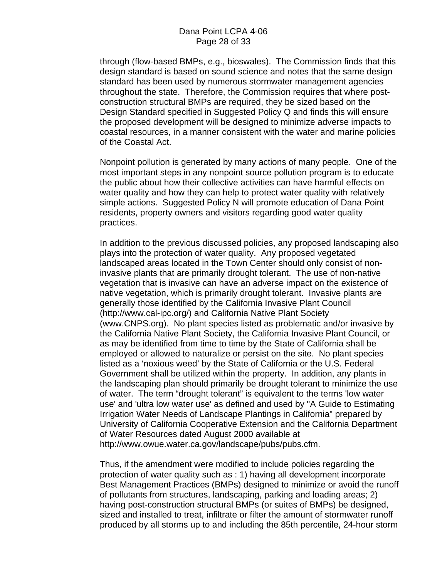through (flow-based BMPs, e.g., bioswales). The Commission finds that this design standard is based on sound science and notes that the same design standard has been used by numerous stormwater management agencies throughout the state. Therefore, the Commission requires that where postconstruction structural BMPs are required, they be sized based on the Design Standard specified in Suggested Policy Q and finds this will ensure the proposed development will be designed to minimize adverse impacts to coastal resources, in a manner consistent with the water and marine policies of the Coastal Act.

Nonpoint pollution is generated by many actions of many people. One of the most important steps in any nonpoint source pollution program is to educate the public about how their collective activities can have harmful effects on water quality and how they can help to protect water quality with relatively simple actions. Suggested Policy N will promote education of Dana Point residents, property owners and visitors regarding good water quality practices.

In addition to the previous discussed policies, any proposed landscaping also plays into the protection of water quality. Any proposed vegetated landscaped areas located in the Town Center should only consist of noninvasive plants that are primarily drought tolerant. The use of non-native vegetation that is invasive can have an adverse impact on the existence of native vegetation, which is primarily drought tolerant. Invasive plants are generally those identified by the California Invasive Plant Council (http://www.cal-ipc.org/) and California Native Plant Society (www.CNPS.org). No plant species listed as problematic and/or invasive by the California Native Plant Society, the California Invasive Plant Council, or as may be identified from time to time by the State of California shall be employed or allowed to naturalize or persist on the site. No plant species listed as a 'noxious weed' by the State of California or the U.S. Federal Government shall be utilized within the property. In addition, any plants in the landscaping plan should primarily be drought tolerant to minimize the use of water. The term "drought tolerant" is equivalent to the terms 'low water use' and 'ultra low water use' as defined and used by "A Guide to Estimating Irrigation Water Needs of Landscape Plantings in California" prepared by University of California Cooperative Extension and the California Department of Water Resources dated August 2000 available at [http://www.owue.water.ca.gov/landscape/pubs/pubs.cfm.](http://www.owue.water.ca.gov/landscape/pubs/pubs.cfm)

Thus, if the amendment were modified to include policies regarding the protection of water quality such as : 1) having all development incorporate Best Management Practices (BMPs) designed to minimize or avoid the runoff of pollutants from structures, landscaping, parking and loading areas; 2) having post-construction structural BMPs (or suites of BMPs) be designed, sized and installed to treat, infiltrate or filter the amount of stormwater runoff produced by all storms up to and including the 85th percentile, 24-hour storm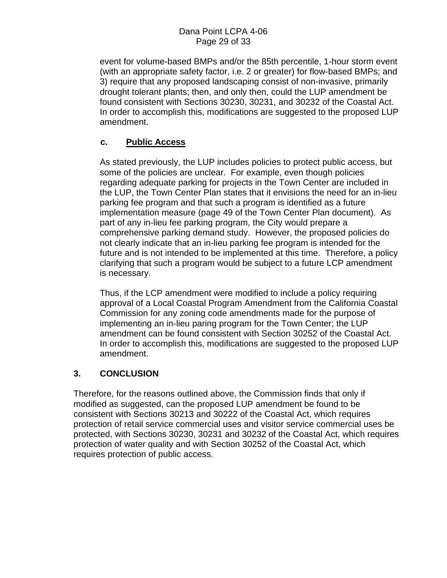event for volume-based BMPs and/or the 85th percentile, 1-hour storm event (with an appropriate safety factor, i.e. 2 or greater) for flow-based BMPs; and 3) require that any proposed landscaping consist of non-invasive, primarily drought tolerant plants; then, and only then, could the LUP amendment be found consistent with Sections 30230, 30231, and 30232 of the Coastal Act. In order to accomplish this, modifications are suggested to the proposed LUP amendment.

### **c. Public Access**

As stated previously, the LUP includes policies to protect public access, but some of the policies are unclear. For example, even though policies regarding adequate parking for projects in the Town Center are included in the LUP, the Town Center Plan states that it envisions the need for an in-lieu parking fee program and that such a program is identified as a future implementation measure (page 49 of the Town Center Plan document). As part of any in-lieu fee parking program, the City would prepare a comprehensive parking demand study. However, the proposed policies do not clearly indicate that an in-lieu parking fee program is intended for the future and is not intended to be implemented at this time. Therefore, a policy clarifying that such a program would be subject to a future LCP amendment is necessary.

Thus, if the LCP amendment were modified to include a policy requiring approval of a Local Coastal Program Amendment from the California Coastal Commission for any zoning code amendments made for the purpose of implementing an in-lieu paring program for the Town Center; the LUP amendment can be found consistent with Section 30252 of the Coastal Act. In order to accomplish this, modifications are suggested to the proposed LUP amendment.

### **3. CONCLUSION**

Therefore, for the reasons outlined above, the Commission finds that only if modified as suggested, can the proposed LUP amendment be found to be consistent with Sections 30213 and 30222 of the Coastal Act, which requires protection of retail service commercial uses and visitor service commercial uses be protected, with Sections 30230, 30231 and 30232 of the Coastal Act, which requires protection of water quality and with Section 30252 of the Coastal Act, which requires protection of public access.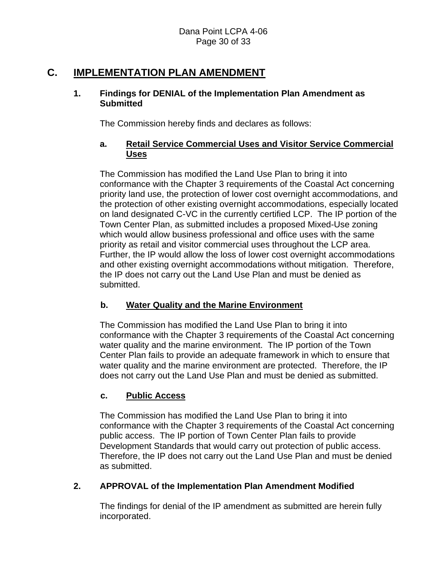## **C. IMPLEMENTATION PLAN AMENDMENT**

### **1. Findings for DENIAL of the Implementation Plan Amendment as Submitted**

The Commission hereby finds and declares as follows:

### **a. Retail Service Commercial Uses and Visitor Service Commercial Uses**

The Commission has modified the Land Use Plan to bring it into conformance with the Chapter 3 requirements of the Coastal Act concerning priority land use, the protection of lower cost overnight accommodations, and the protection of other existing overnight accommodations, especially located on land designated C-VC in the currently certified LCP. The IP portion of the Town Center Plan, as submitted includes a proposed Mixed-Use zoning which would allow business professional and office uses with the same priority as retail and visitor commercial uses throughout the LCP area. Further, the IP would allow the loss of lower cost overnight accommodations and other existing overnight accommodations without mitigation. Therefore, the IP does not carry out the Land Use Plan and must be denied as submitted.

### **b. Water Quality and the Marine Environment**

The Commission has modified the Land Use Plan to bring it into conformance with the Chapter 3 requirements of the Coastal Act concerning water quality and the marine environment. The IP portion of the Town Center Plan fails to provide an adequate framework in which to ensure that water quality and the marine environment are protected. Therefore, the IP does not carry out the Land Use Plan and must be denied as submitted.

### **c. Public Access**

The Commission has modified the Land Use Plan to bring it into conformance with the Chapter 3 requirements of the Coastal Act concerning public access. The IP portion of Town Center Plan fails to provide Development Standards that would carry out protection of public access. Therefore, the IP does not carry out the Land Use Plan and must be denied as submitted.

### **2. APPROVAL of the Implementation Plan Amendment Modified**

The findings for denial of the IP amendment as submitted are herein fully incorporated.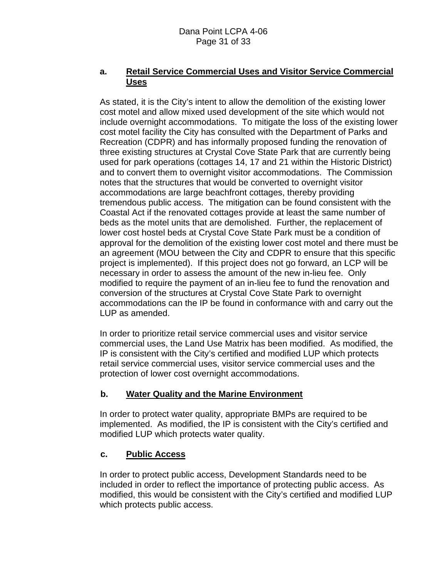### **a. Retail Service Commercial Uses and Visitor Service Commercial Uses**

As stated, it is the City's intent to allow the demolition of the existing lower cost motel and allow mixed used development of the site which would not include overnight accommodations. To mitigate the loss of the existing lower cost motel facility the City has consulted with the Department of Parks and Recreation (CDPR) and has informally proposed funding the renovation of three existing structures at Crystal Cove State Park that are currently being used for park operations (cottages 14, 17 and 21 within the Historic District) and to convert them to overnight visitor accommodations. The Commission notes that the structures that would be converted to overnight visitor accommodations are large beachfront cottages, thereby providing tremendous public access. The mitigation can be found consistent with the Coastal Act if the renovated cottages provide at least the same number of beds as the motel units that are demolished. Further, the replacement of lower cost hostel beds at Crystal Cove State Park must be a condition of approval for the demolition of the existing lower cost motel and there must be an agreement (MOU between the City and CDPR to ensure that this specific project is implemented). If this project does not go forward, an LCP will be necessary in order to assess the amount of the new in-lieu fee. Only modified to require the payment of an in-lieu fee to fund the renovation and conversion of the structures at Crystal Cove State Park to overnight accommodations can the IP be found in conformance with and carry out the LUP as amended.

In order to prioritize retail service commercial uses and visitor service commercial uses, the Land Use Matrix has been modified. As modified, the IP is consistent with the City's certified and modified LUP which protects retail service commercial uses, visitor service commercial uses and the protection of lower cost overnight accommodations.

### **b. Water Quality and the Marine Environment**

In order to protect water quality, appropriate BMPs are required to be implemented. As modified, the IP is consistent with the City's certified and modified LUP which protects water quality.

### **c. Public Access**

In order to protect public access, Development Standards need to be included in order to reflect the importance of protecting public access. As modified, this would be consistent with the City's certified and modified LUP which protects public access.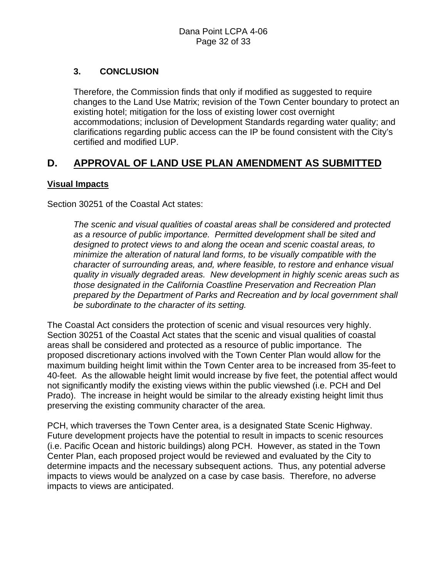### **3. CONCLUSION**

Therefore, the Commission finds that only if modified as suggested to require changes to the Land Use Matrix; revision of the Town Center boundary to protect an existing hotel; mitigation for the loss of existing lower cost overnight accommodations; inclusion of Development Standards regarding water quality; and clarifications regarding public access can the IP be found consistent with the City's certified and modified LUP.

## **D. APPROVAL OF LAND USE PLAN AMENDMENT AS SUBMITTED**

### **Visual Impacts**

Section 30251 of the Coastal Act states:

*The scenic and visual qualities of coastal areas shall be considered and protected as a resource of public importance. Permitted development shall be sited and designed to protect views to and along the ocean and scenic coastal areas, to minimize the alteration of natural land forms, to be visually compatible with the character of surrounding areas, and, where feasible, to restore and enhance visual quality in visually degraded areas. New development in highly scenic areas such as those designated in the California Coastline Preservation and Recreation Plan prepared by the Department of Parks and Recreation and by local government shall be subordinate to the character of its setting.* 

The Coastal Act considers the protection of scenic and visual resources very highly. Section 30251 of the Coastal Act states that the scenic and visual qualities of coastal areas shall be considered and protected as a resource of public importance. The proposed discretionary actions involved with the Town Center Plan would allow for the maximum building height limit within the Town Center area to be increased from 35-feet to 40-feet. As the allowable height limit would increase by five feet, the potential affect would not significantly modify the existing views within the public viewshed (i.e. PCH and Del Prado). The increase in height would be similar to the already existing height limit thus preserving the existing community character of the area.

PCH, which traverses the Town Center area, is a designated State Scenic Highway. Future development projects have the potential to result in impacts to scenic resources (i.e. Pacific Ocean and historic buildings) along PCH. However, as stated in the Town Center Plan, each proposed project would be reviewed and evaluated by the City to determine impacts and the necessary subsequent actions. Thus, any potential adverse impacts to views would be analyzed on a case by case basis. Therefore, no adverse impacts to views are anticipated.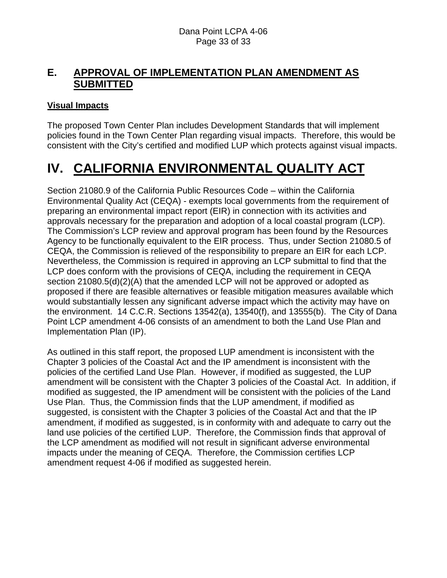## **E. APPROVAL OF IMPLEMENTATION PLAN AMENDMENT AS SUBMITTED**

### **Visual Impacts**

The proposed Town Center Plan includes Development Standards that will implement policies found in the Town Center Plan regarding visual impacts. Therefore, this would be consistent with the City's certified and modified LUP which protects against visual impacts.

# **IV. CALIFORNIA ENVIRONMENTAL QUALITY ACT**

Section 21080.9 of the California Public Resources Code – within the California Environmental Quality Act (CEQA) - exempts local governments from the requirement of preparing an environmental impact report (EIR) in connection with its activities and approvals necessary for the preparation and adoption of a local coastal program (LCP). The Commission's LCP review and approval program has been found by the Resources Agency to be functionally equivalent to the EIR process. Thus, under Section 21080.5 of CEQA, the Commission is relieved of the responsibility to prepare an EIR for each LCP. Nevertheless, the Commission is required in approving an LCP submittal to find that the LCP does conform with the provisions of CEQA, including the requirement in CEQA section 21080.5(d)(2)(A) that the amended LCP will not be approved or adopted as proposed if there are feasible alternatives or feasible mitigation measures available which would substantially lessen any significant adverse impact which the activity may have on the environment. 14 C.C.R. Sections 13542(a), 13540(f), and 13555(b). The City of Dana Point LCP amendment 4-06 consists of an amendment to both the Land Use Plan and Implementation Plan (IP).

As outlined in this staff report, the proposed LUP amendment is inconsistent with the Chapter 3 policies of the Coastal Act and the IP amendment is inconsistent with the policies of the certified Land Use Plan. However, if modified as suggested, the LUP amendment will be consistent with the Chapter 3 policies of the Coastal Act. In addition, if modified as suggested, the IP amendment will be consistent with the policies of the Land Use Plan. Thus, the Commission finds that the LUP amendment, if modified as suggested, is consistent with the Chapter 3 policies of the Coastal Act and that the IP amendment, if modified as suggested, is in conformity with and adequate to carry out the land use policies of the certified LUP. Therefore, the Commission finds that approval of the LCP amendment as modified will not result in significant adverse environmental impacts under the meaning of CEQA. Therefore, the Commission certifies LCP amendment request 4-06 if modified as suggested herein.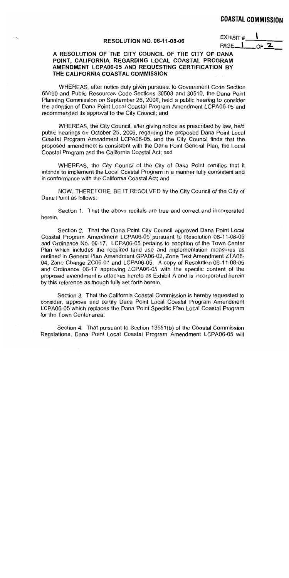#### **RESOLUTION NO. 06-11-08-06**

| EXHIBIT # |  |
|-----------|--|
| PAGE      |  |

#### A RESOLUTION OF THE CITY COUNCIL OF THE CITY OF DANA POINT, CALIFORNIA, REGARDING LOCAL COASTAL PROGRAM AMENDMENT LCPA06-05 AND REQUESTING CERTIFICATION BY THE CALIFORNIA COASTAL COMMISSION

WHEREAS, after notice duly given pursuant to Government Code Section 65090 and Public Resources Code Sections 30503 and 30510, the Dana Point Planning Commission on September 26, 2006, held a public hearing to consider the adoption of Dana Point Local Coastal Program Amendment LCPA06-05 and recommended its approval to the City Council; and

WHEREAS, the City Council, after giving notice as prescribed by law, held public hearings on October 25, 2006, regarding the proposed Dana Point Local Coastal Program Amendment LCPA06-05, and the City Council finds that the proposed amendment is consistent with the Dana Point General Plan, the Local Coastal Program and the California Coastal Act; and

WHEREAS, the City Council of the City of Dana Point certifies that it intends to implement the Local Coastal Program in a manner fully consistent and in conformance with the California Coastal Act; and

NOW, THEREFORE, BE IT RESOLVED by the City Council of the City of Dana Point as follows:

Section 1. That the above recitals are true and correct and incorporated herein.

Section 2. That the Dana Point City Council approved Dana Point Local Coastal Program Amendment LCPA06-05 pursuant to Resolution 06-11-08-05 and Ordinance No. 06-17. LCPA06-05 pertains to adoption of the Town Center Plan which includes the required land use and implementation measures as outlined in General Plan Amendment GPA06-02, Zone Text Amendment ZTA06-04, Zone Change ZC06-01 and LCPA06-05. A copy of Resolution 06-11-08-05 and Ordinance 06-17 approving LCPA06-05 with the specific content of the proposed amendment is attached hereto as Exhibit A and is incorporated herein by this reference as though fully set forth herein.

Section 3. That the California Coastal Commission is hereby requested to consider, approve and certify Dana Point Local Coastal Program Amendment LCPA06-05 which replaces the Dana Point Specific Plan Local Coastal Program for the Town Center area.

Section 4. That pursuant to Section 13551(b) of the Coastal Commission Regulations, Dana Point Local Coastal Program Amendment LCPA06-05 will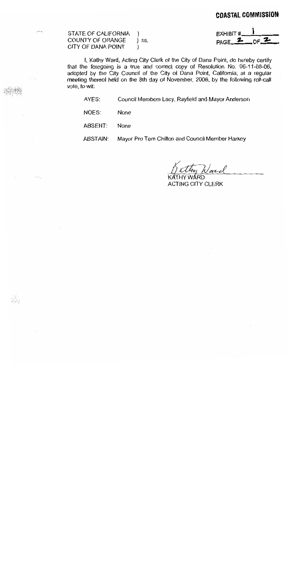| STATE OF CALIFORNIA )<br>COUNTY OF ORANGE ) ss.<br>CITY OF DANA POINT (1) |  | $EXHIBIT \# 1$<br>$PAGE \nightharpoonup CFA$ |
|---------------------------------------------------------------------------|--|----------------------------------------------|
|---------------------------------------------------------------------------|--|----------------------------------------------|

I, Kathy Ward, Acting City Clerk of the City of Dana Point, do hereby certify that the foregoing is a true and correct copy of Resolution No. 06-11-08-06, adopted by the City Council of the City of Dana Point, California, at a regular meeting thereof held on the 8th day of November, 2006, by the following roll-call vote, to wit:

AYES: Council Members Lacy, Rayfield and Mayor Anderson

NOES: None

ABSENT: None

jiya<br>Ali

Mayor Pro Tem Chilton and Council Member Harkey ABSTAIN:

y Ward

KATHY WÁRD. ACTING CITY CLERK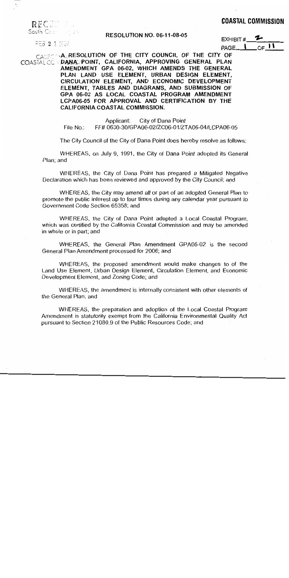| REC.        | in min |  |  |  |  |
|-------------|--------|--|--|--|--|
|             |        |  |  |  |  |
| South Cashi |        |  |  |  |  |

#### **RESOLUTION NO. 06-11-08-05**

FEB 2 1 2007

EXHIBIT#  $_{\Omega}$  11 PAGE\_

CAUTOMALRESOLUTION OF THE CITY COUNCIL OF THE CITY OF COASTAL CO DANA POINT, CALIFORNIA, APPROVING GENERAL PLAN AMENDMENT GPA 06-02, WHICH AMENDS THE GENERAL PLAN LAND USE ELEMENT, URBAN DESIGN ELEMENT. CIRCULATION ELEMENT, AND ECONOMIC DEVELOPMENT ELEMENT, TABLES AND DIAGRAMS, AND SUBMISSION OF GPA 06-02 AS LOCAL COASTAL PROGRAM AMENDMENT LCPA06-05 FOR APPROVAL AND CERTIFICATION BY THE CALIFORNIA COASTAL COMMISSION.

> Applicant: City of Dana Point FF# 0630-30/GPA06-02/ZC06-01/ZTA06-04/LCPA06-05 File No.:

The City Council of the City of Dana Point does hereby resolve as follows:

WHEREAS, on July 9, 1991, the City of Dana Point adopted its General Plan; and

WHEREAS, the City of Dana Point has prepared a Mitigated Negative Declaration which has been reviewed and approved by the City Council; and

WHEREAS, the City may amend all or part of an adopted General Plan to promote the public interest up to four times during any calendar year pursuant to Government Code Section 65358; and

WHEREAS, the City of Dana Point adopted a Local Coastal Program, which was certified by the California Coastal Commission and may be amended in whole or in part; and

WHEREAS, the General Plan Amendment GPA06-02 is the second General Plan Amendment processed for 2006; and

WHEREAS, the proposed amendment would make changes to of the Land Use Element, Urban Design Element, Circulation Element, and Economic Development Element, and Zoning Code; and

WHEREAS, the amendment is internally consistent with other elements of the General Plan; and

WHEREAS, the preparation and adoption of the Local Coastal Program Amendment is statutorily exempt from the California Environmental Quality Act pursuant to Section 21080.9 of the Public Resources Code; and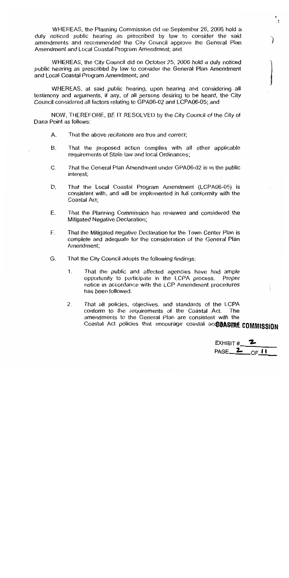WHEREAS, the Planning Commission did on September 26, 2006 hold a duly noticed public hearing as prescribed by law to consider the said amendments and recommended the City Council approve the General Plan Amendment and Local Coastal Program Amendment; and

WHEREAS, the City Council did on October 25, 2006 hold a duly noticed public hearing as prescribed by law to consider the General Plan Amendment and Local Coastal Program Amendment; and

WHEREAS, at said public hearing, upon hearing and considering all testimony and arguments, if any, of all persons desiring to be heard, the City Council considered all factors relating to GPA06-02 and LCPA06-05; and

NOW, THEREFORE, BE IT RESOLVED by the City Council of the City of Dana Point as follows:

- That the above recitations are true and correct; Α.
- **B.** That the proposed action complies with all other applicable requirements of State law and local Ordinances:
- That the General Plan Amendment under GPA06-02 is in the public  $C_{\cdot}$ interest:
- D. That the Local Coastal Program Amendment (LCPA06-05) is consistent with, and will be implemented in full conformity with the Coastal Act;
- E. That the Planning Commission has reviewed and considered the **Mitigated Negative Declaration:**
- F. That the Mitigated negative Declaration for the Town Center Plan is complete and adequate for the consideration of the General Plan Amendment:
- G. That the City Council adopts the following findings:
	- $1<sub>1</sub>$ That the public and affected agencies have had ample opportunity to participate in the LCPA process. Proper notice in accordance with the LCP Amendment procedures has been followed.
	- That all policies, objectives, and standards of the LCPA  $2.$ conform to the requirements of the Coastal Act. **The** amendments to the General Plan are consistent with the Coastal Act policies that encourage coastal acCCOASTAL COMMISSION

EXHIBIT # PAGE 2  $\circ$   $\blacksquare$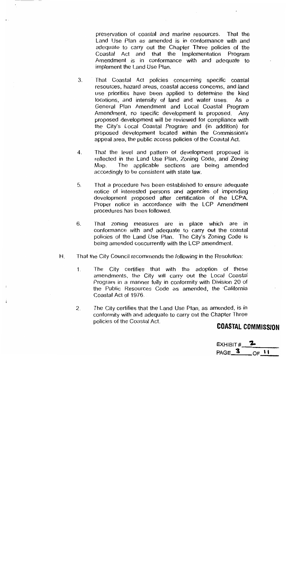preservation of coastal and marine resources. That the Land Use Plan as amended is in conformance with and adequate to carry out the Chapter Three policies of the Coastal Act and that the Implementation Program Amendment is in conformance with and adequate to implement the Land Use Plan.

- That Coastal Act policies concerning specific coastal 3. resources, hazard areas, coastal access concerns, and land use priorities have been applied to determine the kind locations, and intensity of land and water uses. As a General Plan Amendment and Local Coastal Program Amendment, no specific development is proposed. Anv proposed development will be reviewed for compliance with the City's Local Coastal Program and (in addition) for proposed development located within the Commission's appeal area, the public access policies of the Coastal Act.
- That the level and pattern of development proposed is  $\boldsymbol{4}$ . reflected in the Land Use Plan, Zoning Code, and Zoning The applicable sections are being amended Map. accordingly to be consistent with state law.
- 5. That a procedure has been established to ensure adequate notice of interested persons and agencies of impending development proposed after certification of the LCPA. Proper notice in accordance with the LCP Amendment procedures has been followed.
- 6. That zoning measures are in place which are in conformance with and adequate to carry out the coastal policies of the Land Use Plan. The City's Zoning Code is being amended concurrently with the LCP amendment.
- That the City Council recommends the following in the Resolution:  $H_{\cdot}$ 
	- The City certifies that with the adoption of these  $\mathbf{1}$ . amendments, the City will carry out the Local Coastal Program in a manner fully in conformity with Division 20 of the Public Resources Code as amended, the California Coastal Act of 1976.
	- The City certifies that the Land Use Plan, as amended, is in  $\overline{2}$ . conformity with and adequate to carry out the Chapter Three policies of the Coastal Act.

## **COASTAL COMMISSION**

| EXHIBIT # |  |
|-----------|--|
| PAGE_     |  |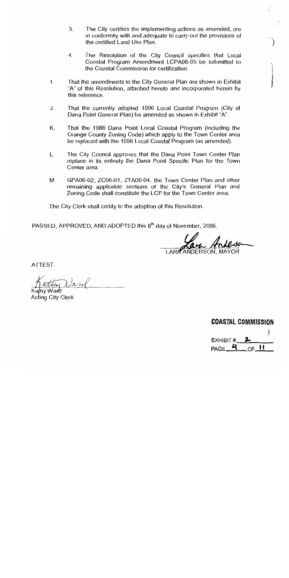- 3. The City certifies the implementing actions as amended, are in conformity with and adequate to carry out the provisions of the certified Land Use Plan.
- The Resolution of the City Council specifies that Local  $4.$ Coastal Program Amendment LCPA06-05 be submitted to the Coastal Commission for certification.
- $\mathbf{L}$ That the amendments to the City General Plan are shown in Exhibit "A" of this Resolution, attached hereto and incorporated herein by this reference.
- J. That the currently adopted 1996 Local Coastal Program (City of Dana Point General Plan) be amended as shown in Exhibit "A".
- Κ. That the 1986 Dana Point Local Coastal Program (including the Orange County Zoning Code) which apply to the Town Center area be replaced with the 1996 Local Coastal Program (as amended).
- L. The City Council approves that the Dana Point Town Center Plan replace in its entirety the Dana Point Specific Plan for the Town Center area.
- М. GPA06-02, ZC06-01, ZTA06-04, the Town Center Plan and other remaining applicable sections of the City's General Plan and Zoning Code shall constitute the LCP for the Town Center area.

The City Clerk shall certify to the adoption of this Resolution.

PASSED, APPROVED, AND ADOPTED this 8<sup>th</sup> day of November, 2006.

NDERSON. MAYOR

ATTEST:

hv Ward

**Acting City Clerk** 

**COASTAL COMMISSION** EXHIBIT #  $PAGE - 4$  $OF\_II$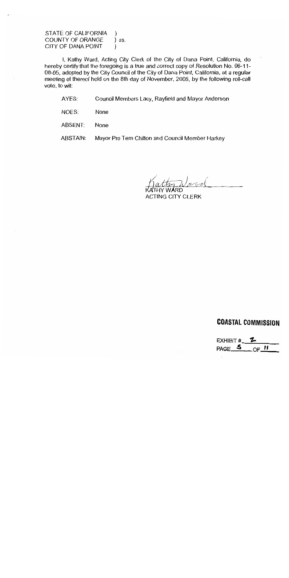STATE OF CALIFORNIA COUNTY OF ORANGE ss. CITY OF DANA POINT  $\mathcal{E}$ 

I, Kathy Ward, Acting City Clerk of the City of Dana Point, California, do hereby certify that the foregoing is a true and correct copy of Resolution No. 06-11-08-05, adopted by the City Council of the City of Dana Point, California, at a regular meeting of thereof held on the 8th day of November, 2006, by the following roll-call vote, to wit:

AYES: Council Members Lacy, Rayfield and Mayor Anderson

NOES: None

**None** ABSENT:

**ABSTAIN:** Mayor Pro Tem Chilton and Council Member Harkey

\RD **ACTING CITY CLERK** 

## **COASTAL COMMISSION**

EXHIBIT # PAGE<sub>5</sub>  $OF$ <sup>11</sup>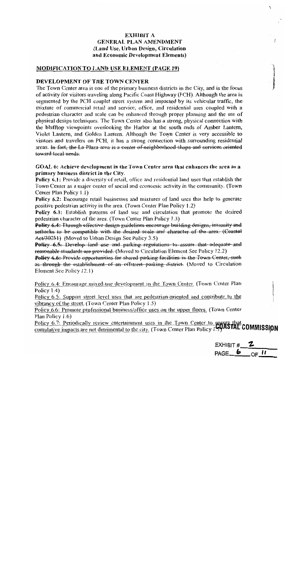#### EXHIBIT A **GENERAL PLAN AMENDMENT** (Land Use, Urban Design, Circulation and Economic Development Elements)

#### **MODIFICATION TO LAND USE ELEMENT (PAGE 19)**

#### DEVELOPMENT OF THE TOWN CENTER

The Town Center area is one of the primary business districts in the City, and is the focus of activity for visitors traveling along Pacific Coast Highway (PCH). Although the area is segmented by the PCH couplet street system and impacted by its vehicular traffic, the mixture of commercial retail and service, office, and residential uses coupled with a pedestrian character and scale can be enhanced through proper planning and the use of physical design techniques. The Town Center also has a strong, physical connection with the blufflop viewpoints overlooking the Harbor at the south ends of Amber Lantern, Violet Lantern, and Golden Lantern. Although the Town Center is very accessible to visitors and travelers on PCH, it has a strong connection with surrounding residential areas. In fact, the La Plaza area is a center of neighborhood shops and services oriented toward-local needs.

GOAL 6: Achieve development in the Town Center area that enhances the area as a primary business district in the City.

Policy 6.1: Provide a diversity of retail, office and residential land uses that establish the Town Center as a major center of social and economic activity in the community. (Town Center Plan Policy 1.1)

**Policy 6.2:** Encourage retail businesses and mixtures of land uses that help to generate positive pedestrian activity in the area. (Town Center Plan Policy 1.2)

**Policy 6.3:** Establish patterns of land use and circulation that promote the desired pedestrian character of the area. (Town Center Plan Policy 1.3)

Policy 6.4: Through effective design guidelines encourage building designs, intensity and setbacks to be compatible with the desired scale and character of the area. (Coastal Act/30251) (Moved to Urban Design Sec Policy 3.5)

**Policy 6.5:** Develop land use and parking regulations to assure that adequate and reasonable standards are provided. (Moved to Circulation Element See Policy 12.2)

Policy 6.6: Provide opportunities for shared parking facilities in the Town-Center, such as through the establishment of an offstreet parking district. (Moved to Circulation Element See Policy 12.1)

Policy 6.4: Encourage mixed-use development in the Town Center. (Town Center Plan Policy  $1.4$ )

Policy 6.5: Support street level uses that are pedestrian-oriented and contribute to the vibrancy of the street. (Town Center Plan Policy 1.5)

Policy 6.6: Promote professional business/office uses on the upper floors. (Town Center Plan Policy 1.6)

Policy 6.7: Periodically review entertainment uses in the Town Center to ensure that<br>cumulative impacts are not detrimental to the city. (Town Center Plan Policy 19) ASTAL COMMISSION

EXHIBIT # PAGE  $6$  $\circ$ F  $^{\prime\prime}$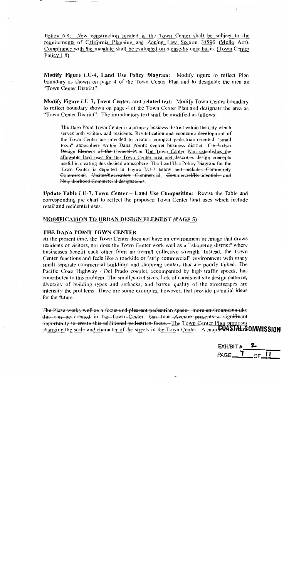Policy 6.8: New construction located in the Town Center shall be subject to the requirements of California Planning and Zoning Law Section 35590 (Mello Act). Compliance with the mandate shall be evaluated on a case-by-case basis. (Town Center Policy  $1.8$ )

Modify Figure LU-4, Land Use Policy Diagram: Modify figure to reflect Plan boundary as shown on page 4 of the Town Center Plan and to designate the area as "Town Center District".

Modify Figure LU-7, Town Center, and related text: Modify Town Center boundary to reflect boundary shown on page 4 of the Town Center Plan and designate the area as "Town Center District". The introductory text shall be modified as follows:

The Dana Point Town Center is a primary business district within the City which serves both visitors and residents. Revitalization and economic development of the Town Center are intended to create a compact pedestrian-oriented, "small town" atmosphere within Dana Point's central business district. The Urban Design Element of the General Plan The Town Center Plan establishes the allowable land uses for the Town Center area and describes design concepts useful in creating this desired atmosphere. The Land Use Policy Diagram for the Town Center is depicted in Figure LU-7 below and includes Community Commercial, Visitor/Recreation Commercial, Commercial/Residential, and Neighborhood Commercial designations.

Update Table LU-7, Town Center  $\sim$  Land Use Composition: Revise the Table and corresponding pie chart to reflect the proposed Town Center land uses which include retail and residential uses.

#### **MODIFICATION TO URBAN DESIGN ELEMENT (PAGE 5)**

#### THE DANA POINT TOWN CENTER

At the present time, the Town Center does not have an environment or image that draws residents or visitors, nor does the Town Center work well as a "shopping district" where businesses benefit each other from an overall collective strength. Instead, the Town Center functions and feels like a roadside or "strip commercial" environment with many small separate commercial buildings and shopping centers that are poorly linked. The Pacific Coast Highway - Del Prado couplet, accompanied by high traffic speeds, has contributed to this problem. The small parcel sizes, lack of consistent site design patterns, diversity of building types and setbacks, and barren quality of the streetscapes are intensify the problems. There are some examples, however, that provide potential ideas for the future.

The Plaza works well as a focus and pleasant pedestrian space - more environments like this can be created in the Town Center. San Juan Avenue presents a significant opportunity to create this additional pedestrian focus. The Town Center Plan proposes changing the scale and character of the streets in the Town Center. A majo**COASTAL rCOMMISSION** 

EXHIBIT # PAGE<sub>V</sub>  $CF II$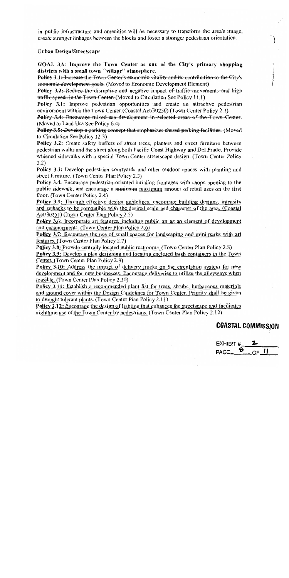in public infrastructure and amenities will be necessary to transform the area's image, create stronger linkages between the blocks and foster a stronger pedestrian orientation.

#### **Urban Design/Streetscape**

GOAL 3A: Improve the Town Center as one of the City's primary shopping districts with a small town "village" atmosphere.

Policy 3.1: Increase the Town Center's economic vitality and its contribution to the City's economic development goals. (Moved to Economic Development Element)

**Policy 3.2:** Reduce the disruptive and negative impact of traffic movements and high traffic speeds in the Town Center. (Moved to Circulation See Policy 11.1)

Policy 3.1: Improve pedestrian opportunities and create an attractive pedestrian environment within the Town Center. (Coastal Act/30250) (Town Center Policy 2.1)

Policy 3.4: Encourage mixed use development in selected areas of the Town Center. (Moved to Land Use See Policy 6.4)

Policy 3.5: Develop a parking concept that emphasizes shared parking facilities. (Moved to Circulation See Policy 12.3)

Policy 3.2: Create safety buffers of street trees, planters and street furniture between pedestrian walks and the street along both Pacific Coast Highway and Del Prado. Provide widened sidewalks with a special Town Center streetscape design. (Town Center Policy  $2.2)$ 

Policy 3.3: Develop pedestrian courtyards and other outdoor spaces with planting and street furniture. (Town Center Plan Policy 2.3)

Policy 3.4: Encourage pedestrian-oriented building frontages with shops opening to the public sidewalk, and encourage a minimum maximum amount of retail uses on the first floor. (Town Center Policy 2.4)

Policy 3.5: Through effective design guidelines, encourage building designs, intensity and setbacks to be compatible with the desired scale and character of the area. (Coastal Act/30251) (Town Center Plan Policy 2.5)

Policy 3.6: Incorporate art features, including public art as an element of development and enhancements. (Town Center Plan Policy 2.6)

Policy 3.7: Encourage the use of small spaces for landscaping and mini-parks with art features. (Town Center Plan Policy 2.7)

**Policy 3.8:** Provide centrally located public restrooms. (Town Center Plan Policy 2.8)

Policy 3.9: Develop a plan designing and locating enclosed trash containers in the Town Center. (Town Center Plan Policy 2.9)

Policy 3.10: Address the impact of delivery trucks on the circulation system for new development and for new businesses. Encourage deliveries to utilize the alleyways when feasible. (Town Center Plan Policy 2.10)

Policy 3.11: Establish a recommended plant list for trees, shrubs, herbaceous materials and ground cover within the Design Guidelines for Town Center. Priority shall be given to drought tolerant plants. (Town Center Plan Policy 2.11)

**Policy 3.12:** Encourage the design of lighting that enhances the streetscape and facilitates nighttime use of the Town Center by pedestrians. (Town Center Plan Policy 2.12)

## **COASTAL COMMISSION**

EXHIBIT #  $PAGE \rightarrow$  $OF$  II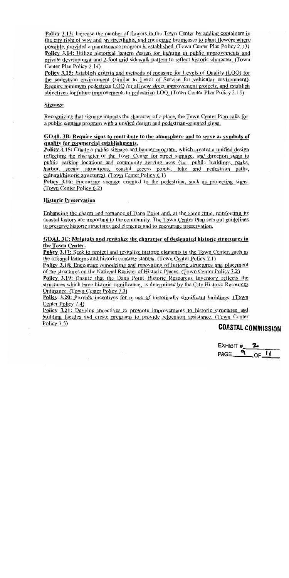**Policy 3.13:** Increase the number of flowers in the Town Center by adding containers in the city right of way and on streetlights, and encourage businesses to plant flowers where possible, provided a maintenance program is established. (Town Center Plan Policy 2.13) Policy 3.14: Utilize historical lantern design for lighting in public improvements and private development and 2-foot grid sidewalk pattern to reflect historic character. (Town Center Plan Policy 2.14)

Policy 3.15: Establish criteria and methods of measure for Levels of Quality (LOQ) for the pedestrian environment (similar to Level of Service for vehicular environment). Require minimum pedestrian LOQ for all new street improvement projects, and establish objectives for future improvements to pedestrian LOO. (Town Center Plan Policy 2.15)

#### **Signage**

Recognizing that signage impacts the character of a place, the Town Center Plan calls for a public signage program with a unified design and pedestrian-oriented signs.

#### GOAL 3B: Require signs to contribute to the atmosphere and to serve as symbols of quality for commercial establishments.

Policy 3.15: Create a public signage and banner program, which creates a unified design reflecting the character of the Town Center for street signage, and direction signs to public parking locations and community serving uses (i.e., public buildings, parks, harbor, scenic attractions, coastal access points, bike and pedestrian paths, cultural/historic structures). (Town Center Policy 6.1)

Policy 3.16: Encourage signage oriented to the pedestrian, such as projecting signs. (Town Center Policy 6.2)

#### **Historic Preservation**

Enhancing the charm and romance of Dana Point and, at the same time, reinforcing its coastal history are important to the community. The Town Center Plan sets out guidelines to preserve historic structures and elements and to encourage preservation.

#### GOAL 3C: Maintain and revitalize the character of designated historic structures in the Town Center.

Policy 3.17: Seek to protect and revitalize historic elements in the Town Center, such as the original lanterns and historic concrete stamps. (Town Center Policy 7.1)

Policy 3.18: Encourage remodeling and renovating of historic structures and placement of the structures on the National Register of Historic Places. (Town Center Policy 7.2)

Policy 3.19: Ensure that the Dana Point Historic Resources Inventory reflects the structures which have historic significance, as determined by the City Historic Resources Ordinance. (Town Center Policy 7.3)

Policy 3.20: Provide incentives for re-use of historically significant buildings. (Town Center Policy 7.4)

**Policy 3.21:** Develop incentives to promote improvements to historic structures and building façades and create programs to provide relocation assistance. (Town Center Policy  $7.5$ )

## **COASTAL COMMISSION**

EXHIBIT # PAGE  $9 \text{ OF II}$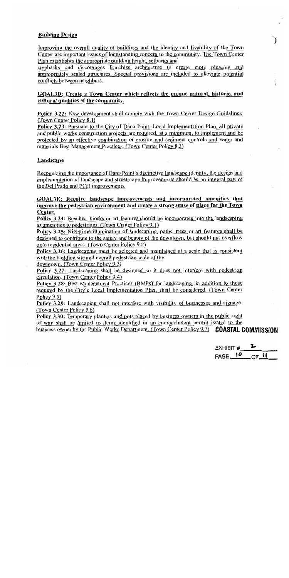#### **Building Design**

Improving the overall quality of buildings and the identity and livability of the Town Center are important issues of longstanding concern to the community. The Town Center Plan establishes the appropriate building height, setbacks and

stepbacks and discourages franchise architecture to create more pleasing and appropriately scaled structures. Special provisions are included to alleviate potential conflicts between neighbors.

#### GOAL3D: Create a Town Center which reflects the unique natural, historic, and cultural qualities of the community.

Policy 3.22: New development shall comply with the Town Center Design Guidelines. (Town Center Policy 8.1)

**Policy 3.23:** Pursuant to the City of Dana Point, Local Implementation Plan, all private and public works construction projects are required, at a minimum, to implement and be protected by an effective combination of erosion and sediment controls and water and materials Best Management Practices. (Town Center Policy 8.2)

#### Landscape

Recognizing the importance of Dana Point's distinctive landscape identity, the design and implementation of landscape and streetscape improvements should be an integral part of the Del Prado and PCH improvements.

#### GOAL3E: Require landscape improvements and incorporated amenities that improve the pedestrian environment and create a strong sense of place for the Town Center.

Policy 3.24: Benches, kiosks or art features should be incorporated into the landscaping as amenities to pedestrians. (Town Center Policy 9.1)

Policy 3.25: Nighttime illumination of landscaping, paths, trees or art features shall be designed to contribute to the safety and beauty of the downtown, but should not overflow onto residential areas. (Town Center Policy 9.2)

**Policy 3.26:** Landscaping must be selected and maintained at a scale that is consistent with the building site and overall pedestrian scale of the

downtown. (Town Center Policy 9.3)

Policy 3.27: Landscaping shall be designed so it does not interfere with pedestrian circulation. (Town Center Policy 9.4)

Policy 3.28: Best Management Practices (BMPs) for landscaping, in addition to those required by the City's Local Implementation Plan, shall be considered. (Town Center Policy  $9.5$ )

**Policy 3.29:** Landscaping shall not interfere with visibility of businesses and signage. (Town Center Policy 9.6)

**Policy 3.30:** Temporary planters and pots placed by business owners in the public right of way shall be limited to items identified in an encroachment permit issued to the business owner by the Public Works Department. (Town Center Policy 9.7) **COASTAL COMMISSION** 

EXHIBIT #  $OF$  $PAGE$   $P$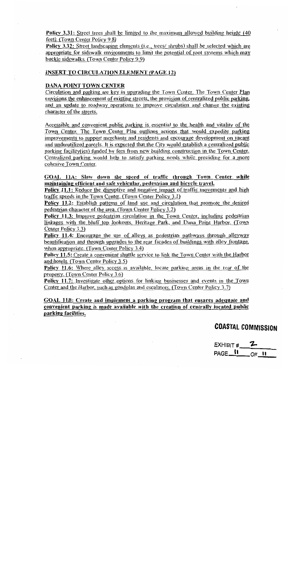**Policy 3.31:** Street trees shall be limited to the maximum allowed building height (40) feet). (Town Center Policy 9.8)

**Policy 3.32:** Street landscaping elements (i.e., trees/shrubs) shall be selected which are appropriate for sidewalk environments to limit the potential of root systems which may buckle sidewalks. (Town Center Policy 9.9)

#### **INSERT TO CIRCULATION ELEMENT (PAGE 12)**

#### **DANA POINT TOWN CENTER**

Circulation and parking are key in upgrading the Town Center. The Town Center Plan envisions the enhancement of existing streets, the provision of centralized public parking, and an update to roadway operations to improve circulation and change the existing character of the streets.

Accessible and convenient public parking is essential to the health and vitality of the Town Center. The Town Center Plan outlines actions that would expedite parking improvements to support merchants and residents and encourage development on vacant and underutilized parcels. It is expected that the City would establish a centralized public parking facility(ies) funded by fees from new building construction in the Town Center. Centralized parking would help to satisfy parking needs while providing for a more cohesive Town Center.

#### GOAL 11A: Slow down the speed of traffic through Town Center while maintaining efficient and safe vehicular, pedestrian and bicycle travel.

Policy 11.1: Reduce the disruptive and negative impact of traffic movements and high traffic speeds in the Town Center. (Town Center Policy 3.1)

Policy 11.2: Establish patterns of land use and circulation that promote the desired pedestrian character of the area. (Town Center Policy 3.2)

Policy 11.3: Improve pedestrian circulation in the Town Center, including pedestrian linkages with the bluff top lookouts, Heritage Park, and Dana Point Harbor. (Town Center Policy 3.3)

**Policy 11.4:** Encourage the use of alleys as pedestrian pathways through alleyway beautification and through upgrades to the rear facades of buildings with alley frontage, when appropriate. (Town Center Policy  $3.4$ )

Policy 11.5: Create a convenient shuttle service to link the Town Center with the Harbor and hotels. (Town Center Policy 3.5)

Policy 11.6: Where alley access is available, locate parking areas in the rear of the property. (Town Center Policy 3.6)

Policy 11.7: Investigate other options for linking businesses and events in the Town Center and the Harbor, such as gondolas and escalators. (Town Center Policy 3.7)

GOAL 11B: Create and implement a parking program that ensures adequate and convenient parking is made available with the creation of centrally located public parking facilities.

## **COASTAL COMMISSION**

EXHIBIT  $#$  2 PAGE<sub>U</sub>  $OF$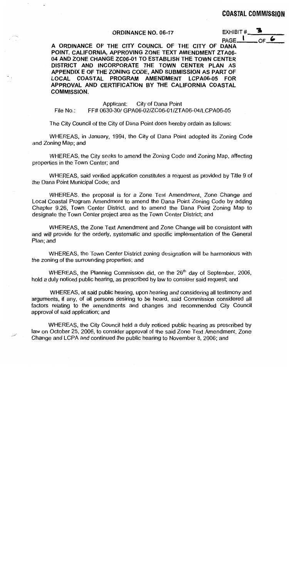#### **ORDINANCE NO. 06-17**

EXHIBIT# PAGE. OF\_

A ORDINANCE OF THE CITY COUNCIL OF THE CITY OF DANA POINT, CALIFORNIA, APPROVING ZONE TEXT AMENDMENT ZTA06-04 AND ZONE CHANGE ZC06-01 TO ESTABLISH THE TOWN CENTER DISTRICT AND INCORPORATE THE TOWN CENTER PLAN AS APPENDIX E OF THE ZONING CODE, AND SUBMISSION AS PART OF LOCAL COASTAL PROGRAM AMENDMENT LCPA06-05 FOR APPROVAL AND CERTIFICATION BY THE CALIFORNIA COASTAL **COMMISSION.** 

Applicant: City of Dana Point FF# 0630-30/ GPA06-02/ZC06-01/ZTA06-04/LCPA06-05 File No.:

The City Council of the City of Dana Point does hereby ordain as follows:

WHEREAS, in January, 1994, the City of Dana Point adopted its Zoning Code and Zoning Map; and

WHEREAS, the City seeks to amend the Zoning Code and Zoning Map, affecting properties in the Town Center; and

WHEREAS, said verified application constitutes a request as provided by Title 9 of the Dana Point Municipal Code; and

WHEREAS, the proposal is for a Zone Text Amendment, Zone Change and Local Coastal Program Amendment to amend the Dana Point Zoning Code by adding Chapter 9.26, Town Center District, and to amend the Dana Point Zoning Map to designate the Town Center project area as the Town Center District; and

WHEREAS, the Zone Text Amendment and Zone Change will be consistent with and will provide for the orderly, systematic and specific implementation of the General Plan; and

WHEREAS, the Town Center District zoning designation will be harmonious with the zoning of the surrounding properties; and

WHEREAS, the Planning Commission did, on the 26<sup>th</sup> day of September, 2006, hold a duly noticed public hearing, as prescribed by law to consider said request; and

WHEREAS, at said public hearing, upon hearing and considering all testimony and arguments, if any, of all persons desiring to be heard, said Commission considered all factors relating to the amendments and changes and recommended City Council approval of said application; and

WHEREAS, the City Council held a duly noticed public hearing as prescribed by law on October 25, 2006, to consider approval of the said Zone Text Amendment, Zone Change and LCPA and continued the public hearing to November 8, 2006; and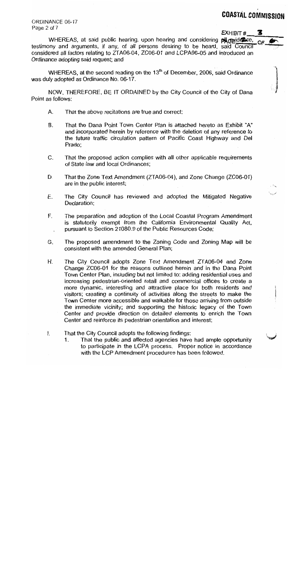3

ORDINANCE 06-17 Page 2 of 7

EXHIBIT #

WHEREAS, at said public hearing, upon hearing and considering placeridence, testimony and arguments, if any, of all persons desiring to be heard, said Council considered all factors relating to ZTA06-04, ZC06-01 and LCPA06-05 and introduced an Ordinance adopting said request; and

WHEREAS, at the second reading on the 13<sup>th</sup> of December, 2006, said Ordinance was duly adopted as Ordinance No. 06-17.

NOW, THEREFORE, BE IT ORDAINED by the City Council of the City of Dana Point as follows:

- А. That the above recitations are true and correct;
- **B.** That the Dana Point Town Center Plan is attached hereto as Exhibit "A" and incorporated herein by reference with the deletion of any reference to the future traffic circulation pattern of Pacific Coast Highway and Del Prado:
- That the proposed action complies with all other applicable requirements C. of State law and local Ordinances;
- That the Zone Text Amendment (ZTA06-04), and Zone Change (ZC06-01) D. are in the public interest;
- The City Council has reviewed and adopted the Mitigated Negative Ε. Declaration;
- F. The preparation and adoption of the Local Coastal Program Amendment is statutorily exempt from the California Environmental Quality Act, pursuant to Section 21080.9 of the Public Resources Code;
- The proposed amendment to the Zoning Code and Zoning Map will be G. consistent with the amended General Plan;
- The City Council adopts Zone Text Amendment ZTA06-04 and Zone Η. Change ZC06-01 for the reasons outlined herein and in the Dana Point Town Center Plan, including but not limited to: adding residential uses and increasing pedestrian-oriented retail and commercial offices to create a more dynamic, interesting and attractive place for both residents and visitors; creating a continuity of activities along the streets to make the Town Center more accessible and walkable for those arriving from outside the immediate vicinity; and supporting the historic legacy of the Town Center and provide direction on detailed elements to enrich the Town Center and reinforce its pedestrian orientation and interest;
- Ι. That the City Council adopts the following findings:
	- That the public and affected agencies have had ample opportunity 1. to participate in the LCPA process. Proper notice in accordance with the LCP Amendment procedures has been followed.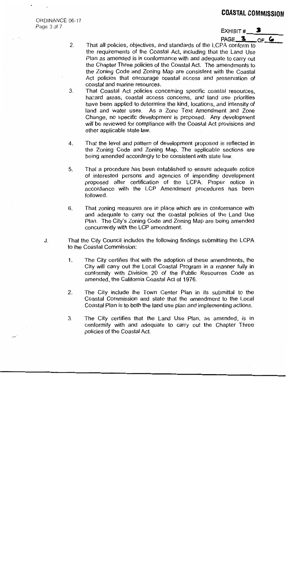ORDINANCE 06-17 Page 3 of 7

EXHIBIT #

PAGE<sub>3</sub> OF 6

- $2.$ That all policies, objectives, and standards of the LCPA conform to the requirements of the Coastal Act, including that the Land Use Plan as amended is in conformance with and adequate to carry out the Chapter Three policies of the Coastal Act. The amendments to the Zoning Code and Zoning Map are consistent with the Coastal Act policies that encourage coastal access and preservation of coastal and marine resources.
- $3.$ That Coastal Act policies concerning specific coastal resources. hazard areas, coastal access concerns, and land use priorities have been applied to determine the kind, locations, and intensity of land and water uses. As a Zone Text Amendment and Zone Change, no specific development is proposed. Any development will be reviewed for compliance with the Coastal Act provisions and other applicable state law.
- That the level and pattern of development proposed is reflected in 4. the Zoning Code and Zoning Map. The applicable sections are being amended accordingly to be consistent with state law.
- 5. That a procedure has been established to ensure adequate notice of interested persons and agencies of impending development proposed after certification of the LCPA. Proper notice in accordance with the LCP Amendment procedures has been followed.
- That zoning measures are in place which are in conformance with 6. and adequate to carry out the coastal policies of the Land Use Plan. The City's Zoning Code and Zoning Map are being amended concurrently with the LCP amendment.
- That the City Council includes the following findings submitting the LCPA J. to the Coastal Commission:
	- $1<sub>1</sub>$ The City certifies that with the adoption of these amendments, the City will carry out the Local Coastal Program in a manner fully in conformity with Division 20 of the Public Resources Code as amended, the California Coastal Act of 1976.
	- 2. The City include the Town Center Plan in its submittal to the Coastal Commission and state that the amendment to the Local Coastal Plan is to both the land use plan and implementing actions.
	- 3. The City certifies that the Land Use Plan, as amended, is in conformity with and adequate to carry out the Chapter Three policies of the Coastal Act.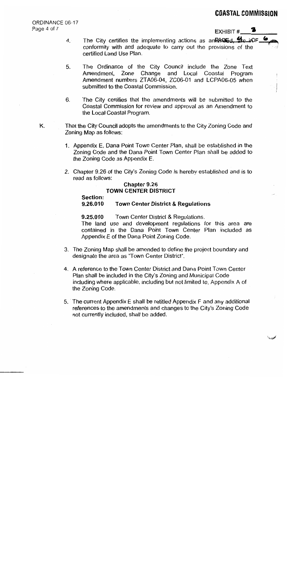6

فتست

ORDINANCE 06-17 Page 4 of 7

EXHIBIT #

- The City certifies the implementing actions as an 24GEd. Ste in DF\_  $4.$ conformity with and adequate to carry out the provisions of the certified Land Use Plan.
- The Ordinance of the City Council include the Zone Text 5. Amendment, Zone Change and Local Coastal Program Amendment numbers ZTA06-04, ZC06-01 and LCPA06-05 when submitted to the Coastal Commission.
- 6. The City certifies that the amendments will be submitted to the Coastal Commission for review and approval as an Amendment to the Local Coastal Program.
- K. That the City Council adopts the amendments to the City Zoning Code and Zoning Map as follows:
	- 1. Appendix E, Dana Point Town Center Plan, shall be established in the Zoning Code and the Dana Point Town Center Plan shall be added to the Zoning Code as Appendix E.
	- 2. Chapter 9.26 of the City's Zoning Code is hereby established and is to read as follows:

#### Chapter 9.26 **TOWN CENTER DISTRICT**

#### Section:

#### 9.26.010 **Town Center District & Regulations**

9.25.010 Town Center District & Regulations.

The land use and development regulations for this area are contained in the Dana Point Town Center Plan included as Appendix E of the Dana Point Zoning Code.

- 3. The Zoning Map shall be amended to define the project boundary and designate the area as "Town Center District".
- 4. A reference to the Town Center District and Dana Point Town Center Plan shall be included in the City's Zoning and Municipal Code including where applicable, including but not limited to, Appendix A of the Zoning Code.
- 5. The current Appendix E shall be retitled Appendix F and any additional references to the amendments and changes to the City's Zoning Code not currently included, shall be added.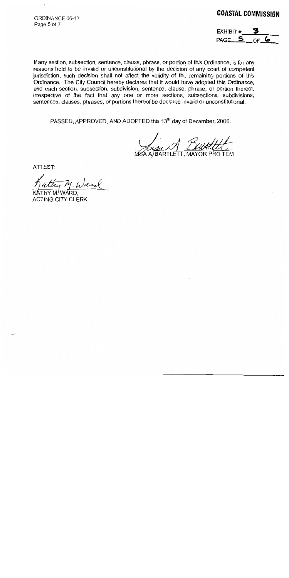ORDINANCE 06-17 Page 5 of 7

## **COASTAL COMMISSION**

EXHIBIT # PAGE<sub>\_5</sub>  $\circ$ f G

If any section, subsection, sentence, clause, phrase, or portion of this Ordinance, is for any reasons held to be invalid or unconstitutional by the decision of any court of competent jurisdiction, such decision shall not affect the validity of the remaining portions of this Ordinance. The City Council hereby declares that it would have adopted this Ordinance, and each section, subsection, subdivision, sentence, clause, phrase, or portion thereof, irrespective of the fact that any one or more sections, subsections, subdivisions, sentences, clauses, phrases, or portions thereof be declared invalid or unconstitutional.

PASSED, APPROVED, AND ADOPTED this 13<sup>th</sup> day of December, 2006.

**MAYOR PRO TEM** 

ATTEST:

Ward

**ACTING CITY CLERK**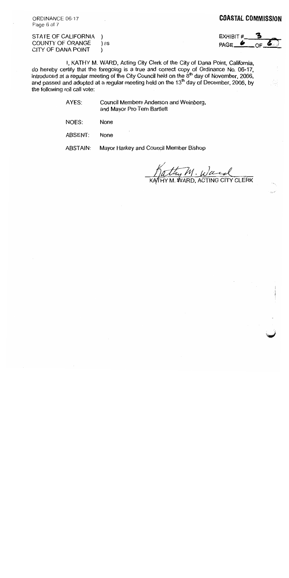ORDINANCE 06-17 Page 6 of 7

#### **COASTAL COMMISSION**

| STATE OF CALIFORNIA |      |
|---------------------|------|
| COUNTY OF ORANGE    | ) ss |
| CITY OF DANA POINT  |      |

EXHIBIT # PAGE<sub>e</sub>

I, KATHY M. WARD, Acting City Clerk of the City of Dana Point, California, do hereby certify that the foregoing is a true and correct copy of Ordinance No. 06-17,<br>introduced at a regular meeting of the City Council held on the  $8<sup>th</sup>$  day of November, 2006, and passed and adopted at a regular the following roll call vote:

> AYES: Council Members Anderson and Weinberg, and Mayor Pro Tem Bartlett

NOES: None

ABSENT: None

Mayor Harkey and Council Member Bishop **ABSTAIN:** 

thy M. Ward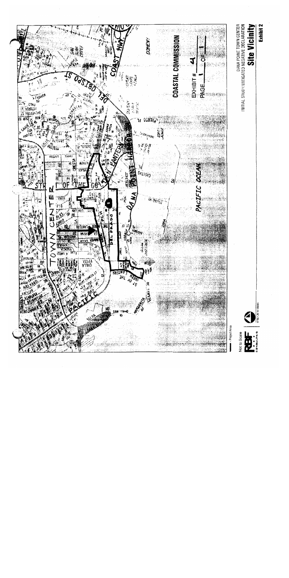

Exhibit 2